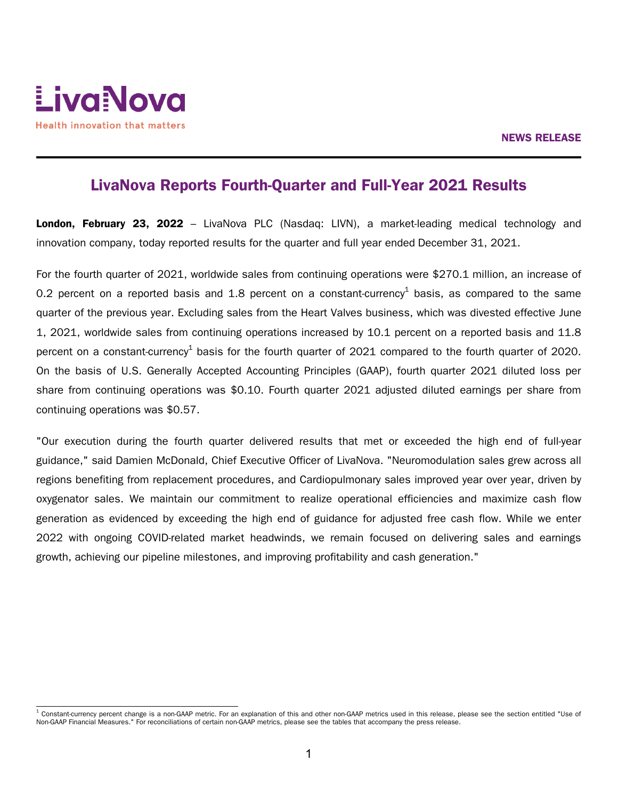

# LivaNova Reports Fourth-Quarter and Full-Year 2021 Results

London, February 23, 2022 – LivaNova PLC (Nasdaq: LIVN), a market-leading medical technology and innovation company, today reported results for the quarter and full year ended December 31, 2021.

For the fourth quarter of 2021, worldwide sales from continuing operations were \$270.1 million, an increase of 0.2 percent on a reported basis and 1.8 percent on a constant-currency<sup>1</sup> basis, as compared to the same quarter of the previous year. Excluding sales from the Heart Valves business, which was divested effective June 1, 2021, worldwide sales from continuing operations increased by 10.1 percent on a reported basis and 11.8 percent on a constant-currency $^1$  basis for the fourth quarter of 2021 compared to the fourth quarter of 2020. On the basis of U.S. Generally Accepted Accounting Principles (GAAP), fourth quarter 2021 diluted loss per share from continuing operations was \$0.10. Fourth quarter 2021 adjusted diluted earnings per share from continuing operations was \$0.57.

"Our execution during the fourth quarter delivered results that met or exceeded the high end of full-year guidance," said Damien McDonald, Chief Executive Officer of LivaNova. "Neuromodulation sales grew across all regions benefiting from replacement procedures, and Cardiopulmonary sales improved year over year, driven by oxygenator sales. We maintain our commitment to realize operational efficiencies and maximize cash flow generation as evidenced by exceeding the high end of guidance for adjusted free cash flow. While we enter 2022 with ongoing COVID-related market headwinds, we remain focused on delivering sales and earnings growth, achieving our pipeline milestones, and improving profitability and cash generation."

 $^1$  Constant-currency percent change is a non-GAAP metric. For an explanation of this and other non-GAAP metrics used in this release, please see the section entitled "Use of Non-GAAP Financial Measures." For reconciliations of certain non-GAAP metrics, please see the tables that accompany the press release.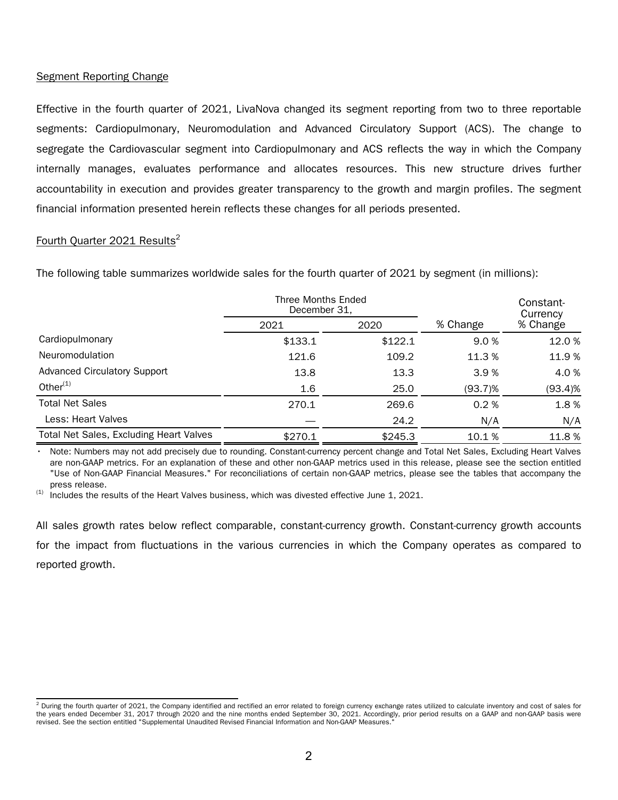## Segment Reporting Change

Effective in the fourth quarter of 2021, LivaNova changed its segment reporting from two to three reportable segments: Cardiopulmonary, Neuromodulation and Advanced Circulatory Support (ACS). The change to segregate the Cardiovascular segment into Cardiopulmonary and ACS reflects the way in which the Company internally manages, evaluates performance and allocates resources. This new structure drives further accountability in execution and provides greater transparency to the growth and margin profiles. The segment financial information presented herein reflects these changes for all periods presented.

## Fourth Ouarter 2021 Results<sup>2</sup>

The following table summarizes worldwide sales for the fourth quarter of 2021 by segment (in millions):

|                                                | Three Months Ended<br>December 31, |         |            | Constant-<br>Currency<br>% Change |  |
|------------------------------------------------|------------------------------------|---------|------------|-----------------------------------|--|
|                                                | 2021                               | 2020    | % Change   |                                   |  |
| Cardiopulmonary                                | \$133.1                            | \$122.1 | 9.0 %      | 12.0%                             |  |
| Neuromodulation                                | 121.6                              | 109.2   | 11.3 %     | 11.9%                             |  |
| <b>Advanced Circulatory Support</b>            | 13.8                               | 13.3    | 3.9%       | 4.0%                              |  |
| Other $(1)$                                    | 1.6                                | 25.0    | $(93.7)\%$ | (93.4)%                           |  |
| <b>Total Net Sales</b>                         | 270.1                              | 269.6   | 0.2%       | 1.8%                              |  |
| Less: Heart Valves                             |                                    | 24.2    | N/A        | N/A                               |  |
| <b>Total Net Sales, Excluding Heart Valves</b> | \$270.1                            | \$245.3 | 10.1 %     | 11.8%                             |  |

• Note: Numbers may not add precisely due to rounding. Constant-currency percent change and Total Net Sales, Excluding Heart Valves are non-GAAP metrics. For an explanation of these and other non-GAAP metrics used in this release, please see the section entitled "Use of Non-GAAP Financial Measures." For reconciliations of certain non-GAAP metrics, please see the tables that accompany the press release.

 $(1)$  Includes the results of the Heart Valves business, which was divested effective June 1, 2021.

All sales growth rates below reflect comparable, constant-currency growth. Constant-currency growth accounts for the impact from fluctuations in the various currencies in which the Company operates as compared to reported growth.

 $^2$  During the fourth quarter of 2021, the Company identified and rectified an error related to foreign currency exchange rates utilized to calculate inventory and cost of sales for the years ended December 31, 2017 through 2020 and the nine months ended September 30, 2021. Accordingly, prior period results on a GAAP and non-GAAP basis were revised. See the section entitled "Supplemental Unaudited Revised Financial Information and Non-GAAP Measures."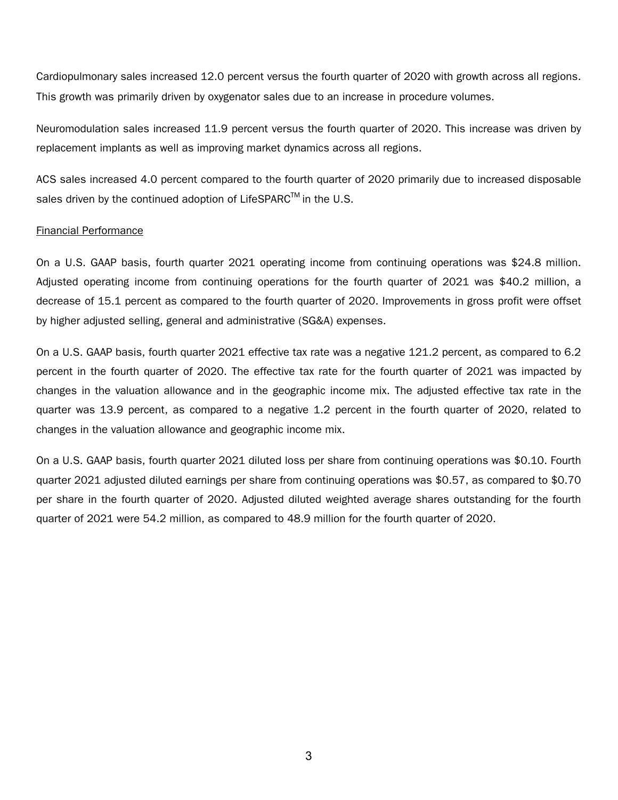Cardiopulmonary sales increased 12.0 percent versus the fourth quarter of 2020 with growth across all regions. This growth was primarily driven by oxygenator sales due to an increase in procedure volumes.

Neuromodulation sales increased 11.9 percent versus the fourth quarter of 2020. This increase was driven by replacement implants as well as improving market dynamics across all regions.

ACS sales increased 4.0 percent compared to the fourth quarter of 2020 primarily due to increased disposable sales driven by the continued adoption of LifeSPARC<sup>TM</sup> in the U.S.

## Financial Performance

On a U.S. GAAP basis, fourth quarter 2021 operating income from continuing operations was \$24.8 million. Adjusted operating income from continuing operations for the fourth quarter of 2021 was \$40.2 million, a decrease of 15.1 percent as compared to the fourth quarter of 2020. Improvements in gross profit were offset by higher adjusted selling, general and administrative (SG&A) expenses.

On a U.S. GAAP basis, fourth quarter 2021 effective tax rate was a negative 121.2 percent, as compared to 6.2 percent in the fourth quarter of 2020. The effective tax rate for the fourth quarter of 2021 was impacted by changes in the valuation allowance and in the geographic income mix. The adjusted effective tax rate in the quarter was 13.9 percent, as compared to a negative 1.2 percent in the fourth quarter of 2020, related to changes in the valuation allowance and geographic income mix.

On a U.S. GAAP basis, fourth quarter 2021 diluted loss per share from continuing operations was \$0.10. Fourth quarter 2021 adjusted diluted earnings per share from continuing operations was \$0.57, as compared to \$0.70 per share in the fourth quarter of 2020. Adjusted diluted weighted average shares outstanding for the fourth quarter of 2021 were 54.2 million, as compared to 48.9 million for the fourth quarter of 2020.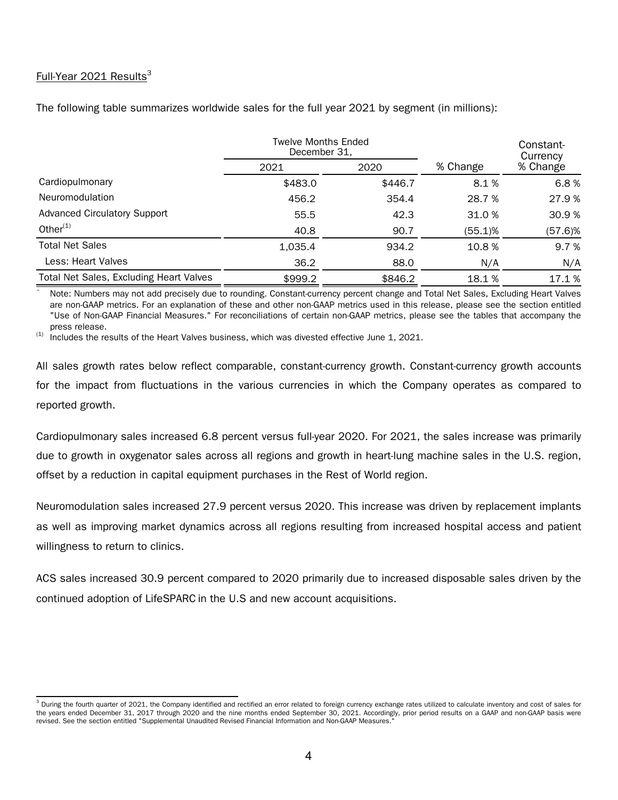## Full-Year 2021 Results $3$

The following table summarizes worldwide sales for the full year 2021 by segment (in millions):

|                                         | <b>Twelve Months Ended</b><br>December 31, |         |          | Constant-<br>Currency |  |
|-----------------------------------------|--------------------------------------------|---------|----------|-----------------------|--|
|                                         | 2021                                       | 2020    | % Change | % Change              |  |
| Cardiopulmonary                         | \$483.0                                    | \$446.7 | 8.1%     | 6.8%                  |  |
| Neuromodulation                         | 456.2                                      | 354.4   | 28.7 %   | 27.9 %                |  |
| <b>Advanced Circulatory Support</b>     | 55.5                                       | 42.3    | 31.0 %   | 30.9%                 |  |
| Other $(1)$                             | 40.8                                       | 90.7    | (55.1)%  | (57.6)%               |  |
| <b>Total Net Sales</b>                  | 1,035.4                                    | 934.2   | 10.8%    | 9.7 %                 |  |
| Less: Heart Valves                      | 36.2                                       | 88.0    | N/A      | N/A                   |  |
| Total Net Sales, Excluding Heart Valves | \$999.2                                    | \$846.2 | 18.1%    | 17.1 %                |  |

• Note: Numbers may not add precisely due to rounding. Constant-currency percent change and Total Net Sales, Excluding Heart Valves are non-GAAP metrics. For an explanation of these and other non-GAAP metrics used in this release, please see the section entitled "Use of Non-GAAP Financial Measures." For reconciliations of certain non-GAAP metrics, please see the tables that accompany the press release.

 $(1)$  Includes the results of the Heart Valves business, which was divested effective June 1, 2021.

All sales growth rates below reflect comparable, constant-currency growth. Constant-currency growth accounts for the impact from fluctuations in the various currencies in which the Company operates as compared to reported growth.

Cardiopulmonary sales increased 6.8 percent versus full-year 2020. For 2021, the sales increase was primarily due to growth in oxygenator sales across all regions and growth in heart-lung machine sales in the U.S. region, offset by a reduction in capital equipment purchases in the Rest of World region.

Neuromodulation sales increased 27.9 percent versus 2020. This increase was driven by replacement implants as well as improving market dynamics across all regions resulting from increased hospital access and patient willingness to return to clinics.

ACS sales increased 30.9 percent compared to 2020 primarily due to increased disposable sales driven by the continued adoption of LifeSPARC in the U.S and new account acquisitions.

 $^3$  During the fourth quarter of 2021, the Company identified and rectified an error related to foreign currency exchange rates utilized to calculate inventory and cost of sales for the years ended December 31, 2017 through 2020 and the nine months ended September 30, 2021. Accordingly, prior period results on a GAAP and non-GAAP basis were revised. See the section entitled "Supplemental Unaudited Revised Financial Information and Non-GAAP Measures."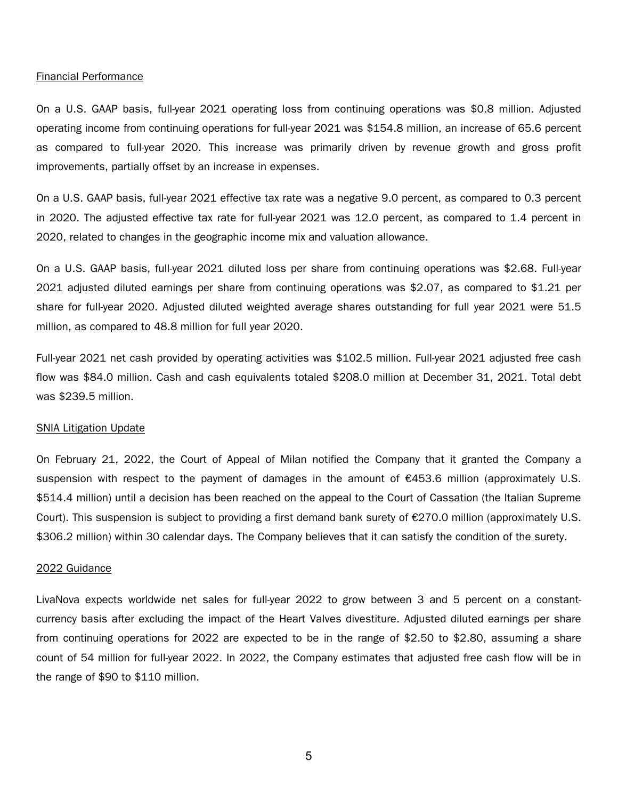### Financial Performance

On a U.S. GAAP basis, full-year 2021 operating loss from continuing operations was \$0.8 million. Adjusted operating income from continuing operations for full-year 2021 was \$154.8 million, an increase of 65.6 percent as compared to full-year 2020. This increase was primarily driven by revenue growth and gross profit improvements, partially offset by an increase in expenses.

On a U.S. GAAP basis, full-year 2021 effective tax rate was a negative 9.0 percent, as compared to 0.3 percent in 2020. The adjusted effective tax rate for full-year 2021 was 12.0 percent, as compared to 1.4 percent in 2020, related to changes in the geographic income mix and valuation allowance.

On a U.S. GAAP basis, full-year 2021 diluted loss per share from continuing operations was \$2.68. Full-year 2021 adjusted diluted earnings per share from continuing operations was \$2.07, as compared to \$1.21 per share for full-year 2020. Adjusted diluted weighted average shares outstanding for full year 2021 were 51.5 million, as compared to 48.8 million for full year 2020.

Full-year 2021 net cash provided by operating activities was \$102.5 million. Full-year 2021 adjusted free cash flow was \$84.0 million. Cash and cash equivalents totaled \$208.0 million at December 31, 2021. Total debt was \$239.5 million.

### SNIA Litigation Update

On February 21, 2022, the Court of Appeal of Milan notified the Company that it granted the Company a suspension with respect to the payment of damages in the amount of €453.6 million (approximately U.S. \$514.4 million) until a decision has been reached on the appeal to the Court of Cassation (the Italian Supreme Court). This suspension is subject to providing a first demand bank surety of  $\epsilon$ 270.0 million (approximately U.S. \$306.2 million) within 30 calendar days. The Company believes that it can satisfy the condition of the surety.

## 2022 Guidance

LivaNova expects worldwide net sales for full-year 2022 to grow between 3 and 5 percent on a constantcurrency basis after excluding the impact of the Heart Valves divestiture. Adjusted diluted earnings per share from continuing operations for 2022 are expected to be in the range of \$2.50 to \$2.80, assuming a share count of 54 million for full-year 2022. In 2022, the Company estimates that adjusted free cash flow will be in the range of \$90 to \$110 million.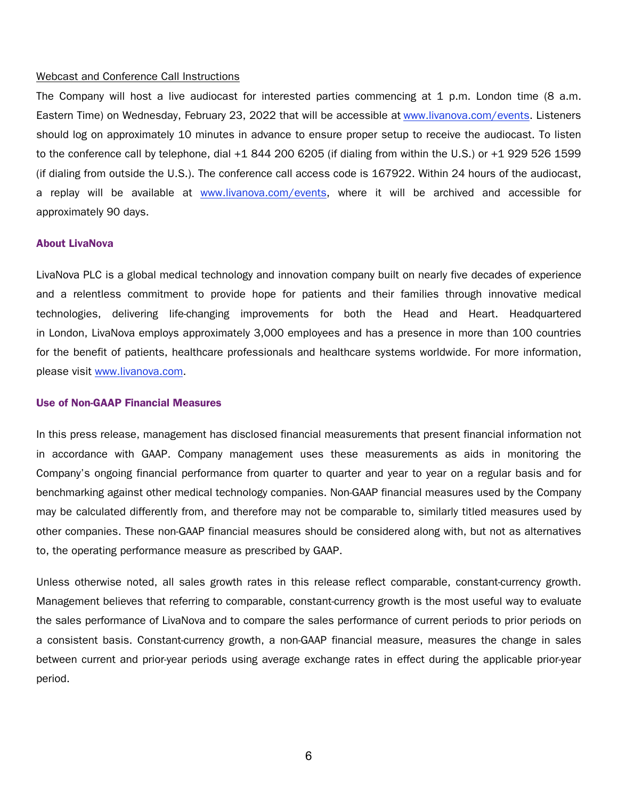### Webcast and Conference Call Instructions

The Company will host a live audiocast for interested parties commencing at 1 p.m. London time (8 a.m. Eastern Time) on Wednesday, February 23, 2022 that will be accessible at www.livanova.com/events. Listeners should log on approximately 10 minutes in advance to ensure proper setup to receive the audiocast. To listen to the conference call by telephone, dial +1 844 200 6205 (if dialing from within the U.S.) or +1 929 526 1599 (if dialing from outside the U.S.). The conference call access code is 167922. Within 24 hours of the audiocast, a replay will be available at www.livanova.com/events, where it will be archived and accessible for approximately 90 days.

### About LivaNova

LivaNova PLC is a global medical technology and innovation company built on nearly five decades of experience and a relentless commitment to provide hope for patients and their families through innovative medical technologies, delivering life-changing improvements for both the Head and Heart. Headquartered in London, LivaNova employs approximately 3,000 employees and has a presence in more than 100 countries for the benefit of patients, healthcare professionals and healthcare systems worldwide. For more information, please visit www.livanova.com.

### Use of Non-GAAP Financial Measures

In this press release, management has disclosed financial measurements that present financial information not in accordance with GAAP. Company management uses these measurements as aids in monitoring the Company's ongoing financial performance from quarter to quarter and year to year on a regular basis and for benchmarking against other medical technology companies. Non-GAAP financial measures used by the Company may be calculated differently from, and therefore may not be comparable to, similarly titled measures used by other companies. These non-GAAP financial measures should be considered along with, but not as alternatives to, the operating performance measure as prescribed by GAAP.

Unless otherwise noted, all sales growth rates in this release reflect comparable, constant-currency growth. Management believes that referring to comparable, constant-currency growth is the most useful way to evaluate the sales performance of LivaNova and to compare the sales performance of current periods to prior periods on a consistent basis. Constant-currency growth, a non-GAAP financial measure, measures the change in sales between current and prior-year periods using average exchange rates in effect during the applicable prior-year period.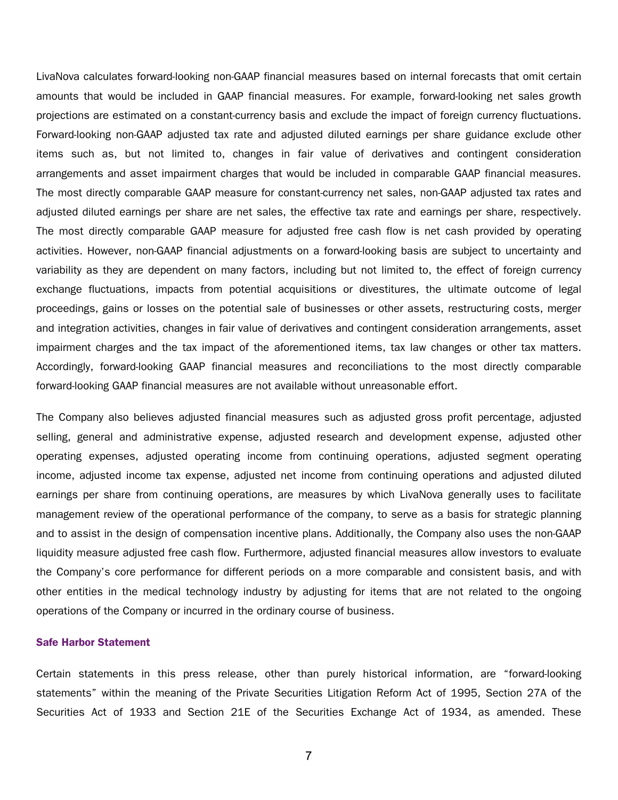LivaNova calculates forward-looking non-GAAP financial measures based on internal forecasts that omit certain amounts that would be included in GAAP financial measures. For example, forward-looking net sales growth projections are estimated on a constant-currency basis and exclude the impact of foreign currency fluctuations. Forward-looking non-GAAP adjusted tax rate and adjusted diluted earnings per share guidance exclude other items such as, but not limited to, changes in fair value of derivatives and contingent consideration arrangements and asset impairment charges that would be included in comparable GAAP financial measures. The most directly comparable GAAP measure for constant-currency net sales, non-GAAP adjusted tax rates and adjusted diluted earnings per share are net sales, the effective tax rate and earnings per share, respectively. The most directly comparable GAAP measure for adjusted free cash flow is net cash provided by operating activities. However, non-GAAP financial adjustments on a forward-looking basis are subject to uncertainty and variability as they are dependent on many factors, including but not limited to, the effect of foreign currency exchange fluctuations, impacts from potential acquisitions or divestitures, the ultimate outcome of legal proceedings, gains or losses on the potential sale of businesses or other assets, restructuring costs, merger and integration activities, changes in fair value of derivatives and contingent consideration arrangements, asset impairment charges and the tax impact of the aforementioned items, tax law changes or other tax matters. Accordingly, forward-looking GAAP financial measures and reconciliations to the most directly comparable forward-looking GAAP financial measures are not available without unreasonable effort.

The Company also believes adjusted financial measures such as adjusted gross profit percentage, adjusted selling, general and administrative expense, adjusted research and development expense, adjusted other operating expenses, adjusted operating income from continuing operations, adjusted segment operating income, adjusted income tax expense, adjusted net income from continuing operations and adjusted diluted earnings per share from continuing operations, are measures by which LivaNova generally uses to facilitate management review of the operational performance of the company, to serve as a basis for strategic planning and to assist in the design of compensation incentive plans. Additionally, the Company also uses the non-GAAP liquidity measure adjusted free cash flow. Furthermore, adjusted financial measures allow investors to evaluate the Company's core performance for different periods on a more comparable and consistent basis, and with other entities in the medical technology industry by adjusting for items that are not related to the ongoing operations of the Company or incurred in the ordinary course of business.

### Safe Harbor Statement

Certain statements in this press release, other than purely historical information, are "forward-looking statements" within the meaning of the Private Securities Litigation Reform Act of 1995, Section 27A of the Securities Act of 1933 and Section 21E of the Securities Exchange Act of 1934, as amended. These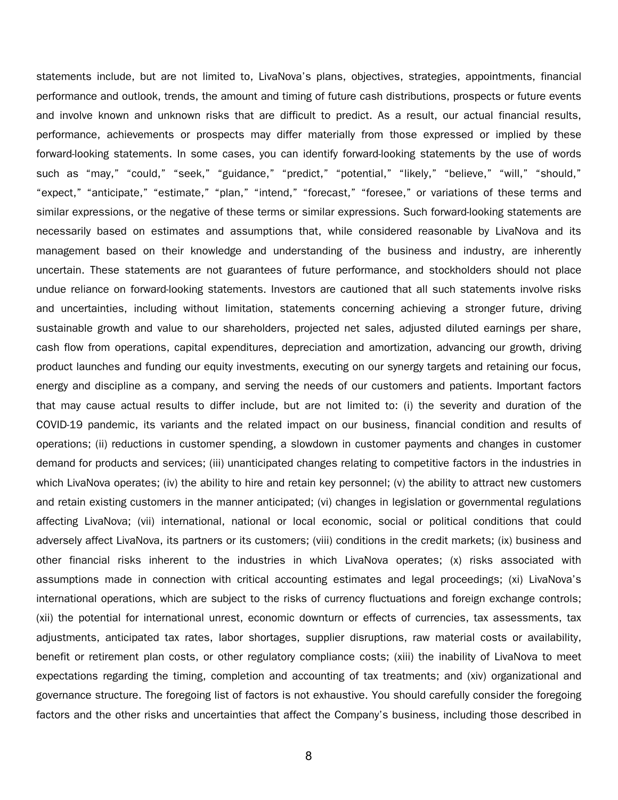statements include, but are not limited to, LivaNova's plans, objectives, strategies, appointments, financial performance and outlook, trends, the amount and timing of future cash distributions, prospects or future events and involve known and unknown risks that are difficult to predict. As a result, our actual financial results, performance, achievements or prospects may differ materially from those expressed or implied by these forward-looking statements. In some cases, you can identify forward-looking statements by the use of words such as "may," "could," "seek," "guidance," "predict," "potential," "likely," "believe," "will," "should," "expect," "anticipate," "estimate," "plan," "intend," "forecast," "foresee," or variations of these terms and similar expressions, or the negative of these terms or similar expressions. Such forward-looking statements are necessarily based on estimates and assumptions that, while considered reasonable by LivaNova and its management based on their knowledge and understanding of the business and industry, are inherently uncertain. These statements are not guarantees of future performance, and stockholders should not place undue reliance on forward-looking statements. Investors are cautioned that all such statements involve risks and uncertainties, including without limitation, statements concerning achieving a stronger future, driving sustainable growth and value to our shareholders, projected net sales, adjusted diluted earnings per share, cash flow from operations, capital expenditures, depreciation and amortization, advancing our growth, driving product launches and funding our equity investments, executing on our synergy targets and retaining our focus, energy and discipline as a company, and serving the needs of our customers and patients. Important factors that may cause actual results to differ include, but are not limited to: (i) the severity and duration of the COVID-19 pandemic, its variants and the related impact on our business, financial condition and results of operations; (ii) reductions in customer spending, a slowdown in customer payments and changes in customer demand for products and services; (iii) unanticipated changes relating to competitive factors in the industries in which LivaNova operates; (iv) the ability to hire and retain key personnel; (v) the ability to attract new customers and retain existing customers in the manner anticipated; (vi) changes in legislation or governmental regulations affecting LivaNova; (vii) international, national or local economic, social or political conditions that could adversely affect LivaNova, its partners or its customers; (viii) conditions in the credit markets; (ix) business and other financial risks inherent to the industries in which LivaNova operates; (x) risks associated with assumptions made in connection with critical accounting estimates and legal proceedings; (xi) LivaNova's international operations, which are subject to the risks of currency fluctuations and foreign exchange controls; (xii) the potential for international unrest, economic downturn or effects of currencies, tax assessments, tax adjustments, anticipated tax rates, labor shortages, supplier disruptions, raw material costs or availability, benefit or retirement plan costs, or other regulatory compliance costs; (xiii) the inability of LivaNova to meet expectations regarding the timing, completion and accounting of tax treatments; and (xiv) organizational and governance structure. The foregoing list of factors is not exhaustive. You should carefully consider the foregoing factors and the other risks and uncertainties that affect the Company's business, including those described in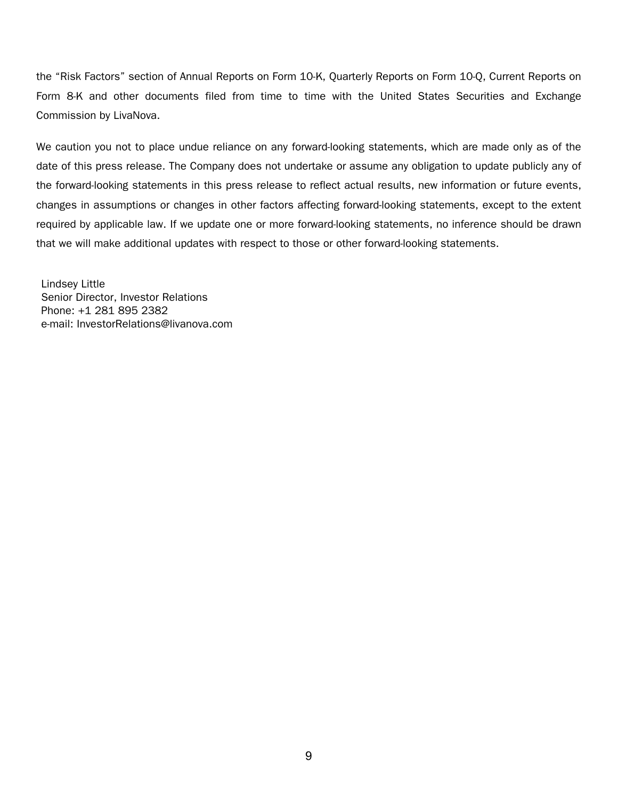the "Risk Factors" section of Annual Reports on Form 10-K, Quarterly Reports on Form 10-Q, Current Reports on Form 8-K and other documents filed from time to time with the United States Securities and Exchange Commission by LivaNova.

We caution you not to place undue reliance on any forward-looking statements, which are made only as of the date of this press release. The Company does not undertake or assume any obligation to update publicly any of the forward-looking statements in this press release to reflect actual results, new information or future events, changes in assumptions or changes in other factors affecting forward-looking statements, except to the extent required by applicable law. If we update one or more forward-looking statements, no inference should be drawn that we will make additional updates with respect to those or other forward-looking statements.

Lindsey Little Senior Director, Investor Relations Phone: +1 281 895 2382 e-mail: InvestorRelations@livanova.com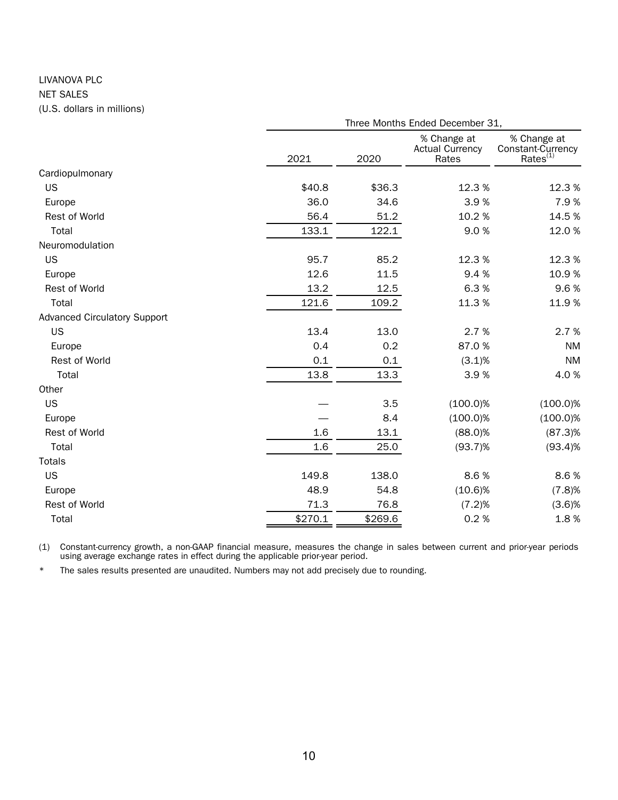## LIVANOVA PLC NET SALES (U.S. dollars in millions)

|                                     |         |         | Three Months Ended December 31,                |                                                   |
|-------------------------------------|---------|---------|------------------------------------------------|---------------------------------------------------|
|                                     | 2021    | 2020    | % Change at<br><b>Actual Currency</b><br>Rates | % Change at<br>Constant-Currency<br>$Rates^{(1)}$ |
| Cardiopulmonary                     |         |         |                                                |                                                   |
| US                                  | \$40.8  | \$36.3  | 12.3%                                          | 12.3%                                             |
| Europe                              | 36.0    | 34.6    | 3.9%                                           | 7.9%                                              |
| Rest of World                       | 56.4    | 51.2    | 10.2%                                          | 14.5%                                             |
| Total                               | 133.1   | 122.1   | 9.0%                                           | 12.0%                                             |
| Neuromodulation                     |         |         |                                                |                                                   |
| US                                  | 95.7    | 85.2    | 12.3%                                          | 12.3%                                             |
| Europe                              | 12.6    | 11.5    | 9.4%                                           | 10.9%                                             |
| <b>Rest of World</b>                | 13.2    | 12.5    | 6.3%                                           | 9.6%                                              |
| Total                               | 121.6   | 109.2   | 11.3%                                          | 11.9%                                             |
| <b>Advanced Circulatory Support</b> |         |         |                                                |                                                   |
| <b>US</b>                           | 13.4    | 13.0    | 2.7%                                           | 2.7%                                              |
| Europe                              | 0.4     | 0.2     | 87.0%                                          | <b>NM</b>                                         |
| Rest of World                       | 0.1     | 0.1     | (3.1)%                                         | <b>NM</b>                                         |
| Total                               | 13.8    | 13.3    | 3.9%                                           | 4.0%                                              |
| Other                               |         |         |                                                |                                                   |
| US                                  |         | 3.5     | $(100.0)\%$                                    | $(100.0)\%$                                       |
| Europe                              |         | 8.4     | $(100.0)\%$                                    | $(100.0)\%$                                       |
| Rest of World                       | 1.6     | 13.1    | $(88.0)\%$                                     | $(87.3)$ %                                        |
| Total                               | 1.6     | 25.0    | $(93.7)\%$                                     | (93.4)%                                           |
| <b>Totals</b>                       |         |         |                                                |                                                   |
| US                                  | 149.8   | 138.0   | 8.6%                                           | 8.6%                                              |
| Europe                              | 48.9    | 54.8    | $(10.6)\%$                                     | (7.8)%                                            |
| Rest of World                       | 71.3    | 76.8    | (7.2)%                                         | $(3.6)$ %                                         |
| Total                               | \$270.1 | \$269.6 | 0.2%                                           | 1.8%                                              |

(1) Constant-currency growth, a non-GAAP financial measure, measures the change in sales between current and prior-year periods using average exchange rates in effect during the applicable prior-year period.

\* The sales results presented are unaudited. Numbers may not add precisely due to rounding.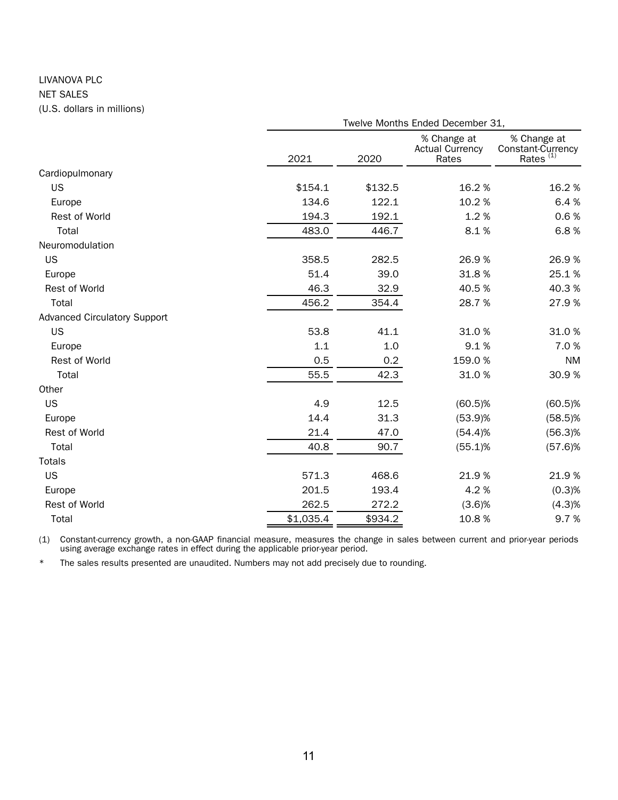## LIVANOVA PLC NET SALES (U.S. dollars in millions)

|                                     |           | Twelve Months Ended December 31, |                                                |                                                          |  |  |  |  |
|-------------------------------------|-----------|----------------------------------|------------------------------------------------|----------------------------------------------------------|--|--|--|--|
|                                     | 2021      | 2020                             | % Change at<br><b>Actual Currency</b><br>Rates | % Change at<br>Constant-Currency<br>Rates <sup>(1)</sup> |  |  |  |  |
| Cardiopulmonary                     |           |                                  |                                                |                                                          |  |  |  |  |
| <b>US</b>                           | \$154.1   | \$132.5                          | 16.2%                                          | 16.2%                                                    |  |  |  |  |
| Europe                              | 134.6     | 122.1                            | 10.2%                                          | 6.4%                                                     |  |  |  |  |
| Rest of World                       | 194.3     | 192.1                            | 1.2%                                           | 0.6%                                                     |  |  |  |  |
| Total                               | 483.0     | 446.7                            | 8.1%                                           | 6.8%                                                     |  |  |  |  |
| Neuromodulation                     |           |                                  |                                                |                                                          |  |  |  |  |
| <b>US</b>                           | 358.5     | 282.5                            | 26.9%                                          | 26.9%                                                    |  |  |  |  |
| Europe                              | 51.4      | 39.0                             | 31.8%                                          | 25.1%                                                    |  |  |  |  |
| Rest of World                       | 46.3      | 32.9                             | 40.5%                                          | 40.3%                                                    |  |  |  |  |
| Total                               | 456.2     | 354.4                            | 28.7%                                          | 27.9%                                                    |  |  |  |  |
| <b>Advanced Circulatory Support</b> |           |                                  |                                                |                                                          |  |  |  |  |
| <b>US</b>                           | 53.8      | 41.1                             | 31.0%                                          | 31.0%                                                    |  |  |  |  |
| Europe                              | 1.1       | 1.0                              | 9.1%                                           | 7.0%                                                     |  |  |  |  |
| Rest of World                       | 0.5       | 0.2                              | 159.0%                                         | <b>NM</b>                                                |  |  |  |  |
| Total                               | 55.5      | 42.3                             | 31.0%                                          | 30.9%                                                    |  |  |  |  |
| Other                               |           |                                  |                                                |                                                          |  |  |  |  |
| US                                  | 4.9       | 12.5                             | $(60.5)\%$                                     | $(60.5)\%$                                               |  |  |  |  |
| Europe                              | 14.4      | 31.3                             | (53.9)%                                        | $(58.5)\%$                                               |  |  |  |  |
| Rest of World                       | 21.4      | 47.0                             | (54.4)%                                        | $(56.3)\%$                                               |  |  |  |  |
| Total                               | 40.8      | 90.7                             | $(55.1)$ %                                     | $(57.6)$ %                                               |  |  |  |  |
| <b>Totals</b>                       |           |                                  |                                                |                                                          |  |  |  |  |
| US                                  | 571.3     | 468.6                            | 21.9%                                          | 21.9%                                                    |  |  |  |  |
| Europe                              | 201.5     | 193.4                            | 4.2%                                           | (0.3)%                                                   |  |  |  |  |
| Rest of World                       | 262.5     | 272.2                            | $(3.6)$ %                                      | (4.3)%                                                   |  |  |  |  |
| Total                               | \$1,035.4 | \$934.2                          | 10.8%                                          | 9.7%                                                     |  |  |  |  |

(1) Constant-currency growth, a non-GAAP financial measure, measures the change in sales between current and prior-year periods using average exchange rates in effect during the applicable prior-year period.

\* The sales results presented are unaudited. Numbers may not add precisely due to rounding.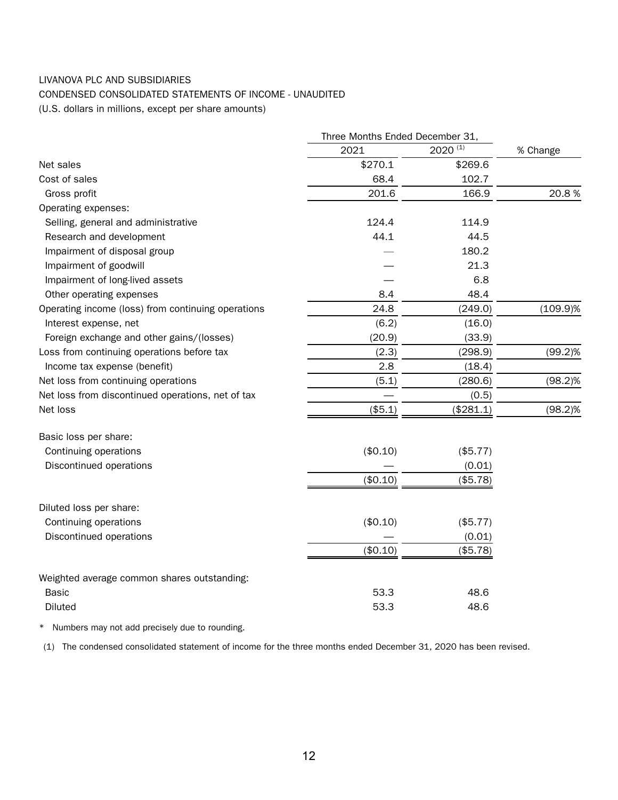## LIVANOVA PLC AND SUBSIDIARIES

## CONDENSED CONSOLIDATED STATEMENTS OF INCOME - UNAUDITED

(U.S. dollars in millions, except per share amounts)

|                                                    | Three Months Ended December 31, |              |             |
|----------------------------------------------------|---------------------------------|--------------|-------------|
|                                                    | 2021                            | $2020^{(1)}$ | % Change    |
| Net sales                                          | \$270.1                         | \$269.6      |             |
| Cost of sales                                      | 68.4                            | 102.7        |             |
| Gross profit                                       | 201.6                           | 166.9        | 20.8%       |
| Operating expenses:                                |                                 |              |             |
| Selling, general and administrative                | 124.4                           | 114.9        |             |
| Research and development                           | 44.1                            | 44.5         |             |
| Impairment of disposal group                       |                                 | 180.2        |             |
| Impairment of goodwill                             |                                 | 21.3         |             |
| Impairment of long-lived assets                    |                                 | 6.8          |             |
| Other operating expenses                           | 8.4                             | 48.4         |             |
| Operating income (loss) from continuing operations | 24.8                            | (249.0)      | $(109.9)\%$ |
| Interest expense, net                              | (6.2)                           | (16.0)       |             |
| Foreign exchange and other gains/(losses)          | (20.9)                          | (33.9)       |             |
| Loss from continuing operations before tax         | (2.3)                           | (298.9)      | $(99.2)\%$  |
| Income tax expense (benefit)                       | 2.8                             | (18.4)       |             |
| Net loss from continuing operations                | (5.1)                           | (280.6)      | $(98.2)\%$  |
| Net loss from discontinued operations, net of tax  |                                 | (0.5)        |             |
| Net loss                                           | (\$5.1)                         | (\$281.1)    | $(98.2)\%$  |
| Basic loss per share:                              |                                 |              |             |
| Continuing operations                              | (\$0.10)                        | (\$5.77)     |             |
| Discontinued operations                            |                                 | (0.01)       |             |
|                                                    | (\$0.10)                        | (\$5.78)     |             |
| Diluted loss per share:                            |                                 |              |             |
| Continuing operations                              | (\$0.10)                        | (\$5.77)     |             |
| Discontinued operations                            |                                 | (0.01)       |             |
|                                                    | (\$0.10)                        | (\$5.78)     |             |
| Weighted average common shares outstanding:        |                                 |              |             |
| Basic                                              | 53.3                            | 48.6         |             |
| Diluted                                            | 53.3                            | 48.6         |             |
|                                                    |                                 |              |             |

\* Numbers may not add precisely due to rounding.

(1) The condensed consolidated statement of income for the three months ended December 31, 2020 has been revised.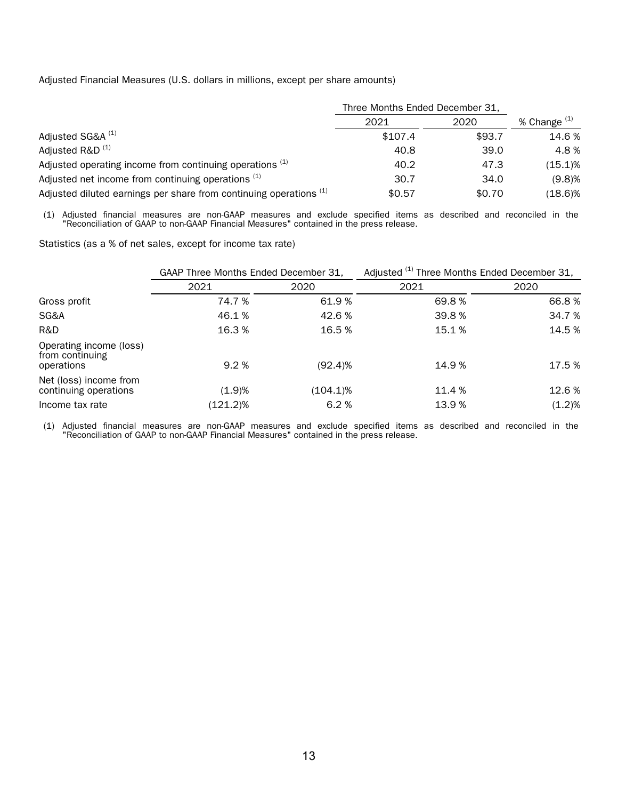Adjusted Financial Measures (U.S. dollars in millions, except per share amounts)

|                                                                    | Three Months Ended December 31, |        |              |
|--------------------------------------------------------------------|---------------------------------|--------|--------------|
|                                                                    | 2021                            | 2020   | % Change (1) |
| Adjusted SG&A <sup>(1)</sup>                                       | \$107.4                         | \$93.7 | 14.6 %       |
| Adjusted R&D <sup>(1)</sup>                                        | 40.8                            | 39.0   | 4.8%         |
| Adjusted operating income from continuing operations (1)           | 40.2                            | 47.3   | (15.1)%      |
| Adjusted net income from continuing operations (1)                 | 30.7                            | 34.0   | (9.8)%       |
| Adjusted diluted earnings per share from continuing operations (1) | \$0.57                          | \$0.70 | $(18.6)\%$   |

(1) Adjusted financial measures are non-GAAP measures and exclude specified items as described and reconciled in the "Reconciliation of GAAP to non-GAAP Financial Measures" contained in the press release.

Statistics (as a % of net sales, except for income tax rate)

|                                                          | GAAP Three Months Ended December 31, |             | Adjusted (1) Three Months Ended December 31, |           |  |  |
|----------------------------------------------------------|--------------------------------------|-------------|----------------------------------------------|-----------|--|--|
|                                                          | 2021                                 | 2020        | 2021                                         | 2020      |  |  |
| Gross profit                                             | 74.7 %                               | 61.9%       | 69.8%                                        | 66.8%     |  |  |
| SG&A                                                     | 46.1%                                | 42.6 %      | 39.8%                                        | 34.7 %    |  |  |
| R&D                                                      | 16.3%                                | 16.5%       | 15.1%                                        | 14.5 %    |  |  |
| Operating income (loss)<br>from continuing<br>operations | 9.2%                                 | (92.4)%     | 14.9 %                                       | 17.5 %    |  |  |
| Net (loss) income from<br>continuing operations          | (1.9)%                               | $(104.1)\%$ | 11.4 %                                       | 12.6 %    |  |  |
| Income tax rate                                          | (121.2)%                             | 6.2%        | 13.9%                                        | $(1.2)\%$ |  |  |

(1) Adjusted financial measures are non-GAAP measures and exclude specified items as described and reconciled in the "Reconciliation of GAAP to non-GAAP Financial Measures" contained in the press release.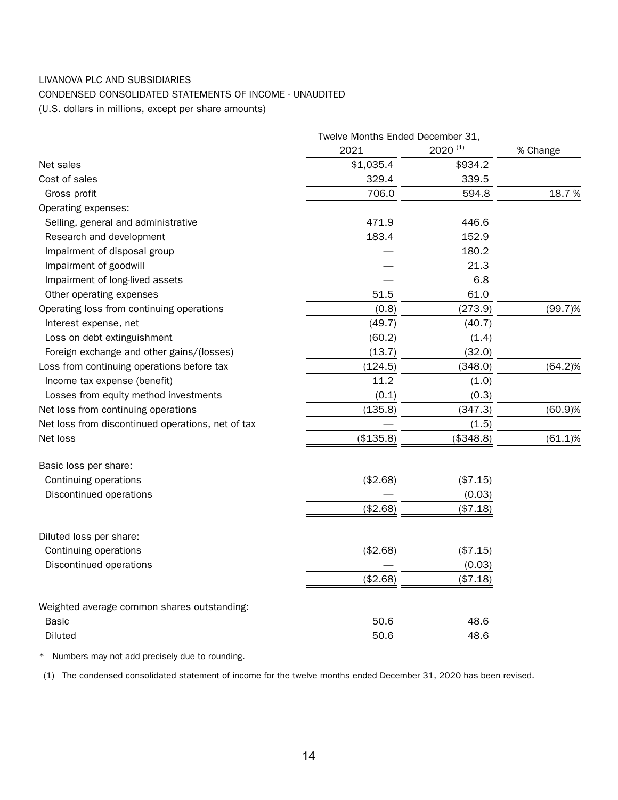## LIVANOVA PLC AND SUBSIDIARIES

## CONDENSED CONSOLIDATED STATEMENTS OF INCOME - UNAUDITED

(U.S. dollars in millions, except per share amounts)

|                                                   | Twelve Months Ended December 31, |              |            |
|---------------------------------------------------|----------------------------------|--------------|------------|
|                                                   | 2021                             | $2020^{(1)}$ | % Change   |
| Net sales                                         | \$1,035.4                        | \$934.2      |            |
| Cost of sales                                     | 329.4                            | 339.5        |            |
| Gross profit                                      | 706.0                            | 594.8        | 18.7%      |
| Operating expenses:                               |                                  |              |            |
| Selling, general and administrative               | 471.9                            | 446.6        |            |
| Research and development                          | 183.4                            | 152.9        |            |
| Impairment of disposal group                      |                                  | 180.2        |            |
| Impairment of goodwill                            |                                  | 21.3         |            |
| Impairment of long-lived assets                   |                                  | 6.8          |            |
| Other operating expenses                          | 51.5                             | 61.0         |            |
| Operating loss from continuing operations         | (0.8)                            | (273.9)      | $(99.7)\%$ |
| Interest expense, net                             | (49.7)                           | (40.7)       |            |
| Loss on debt extinguishment                       | (60.2)                           | (1.4)        |            |
| Foreign exchange and other gains/(losses)         | (13.7)                           | (32.0)       |            |
| Loss from continuing operations before tax        | (124.5)                          | (348.0)      | $(64.2)\%$ |
| Income tax expense (benefit)                      | 11.2                             | (1.0)        |            |
| Losses from equity method investments             | (0.1)                            | (0.3)        |            |
| Net loss from continuing operations               | (135.8)                          | (347.3)      | (60.9)%    |
| Net loss from discontinued operations, net of tax |                                  | (1.5)        |            |
| Net loss                                          | (\$135.8)                        | (\$348.8)    | $(61.1)\%$ |
| Basic loss per share:                             |                                  |              |            |
| Continuing operations                             | (\$2.68)                         | (\$7.15)     |            |
| Discontinued operations                           |                                  | (0.03)       |            |
|                                                   | (\$2.68)                         | (\$7.18)     |            |
| Diluted loss per share:                           |                                  |              |            |
| Continuing operations                             | (\$2.68)                         | (\$7.15)     |            |
| Discontinued operations                           |                                  | (0.03)       |            |
|                                                   | (\$2.68)                         | (\$7.18)     |            |
| Weighted average common shares outstanding:       |                                  |              |            |
| Basic                                             | 50.6                             | 48.6         |            |
| Diluted                                           | 50.6                             | 48.6         |            |

\* Numbers may not add precisely due to rounding.

(1) The condensed consolidated statement of income for the twelve months ended December 31, 2020 has been revised.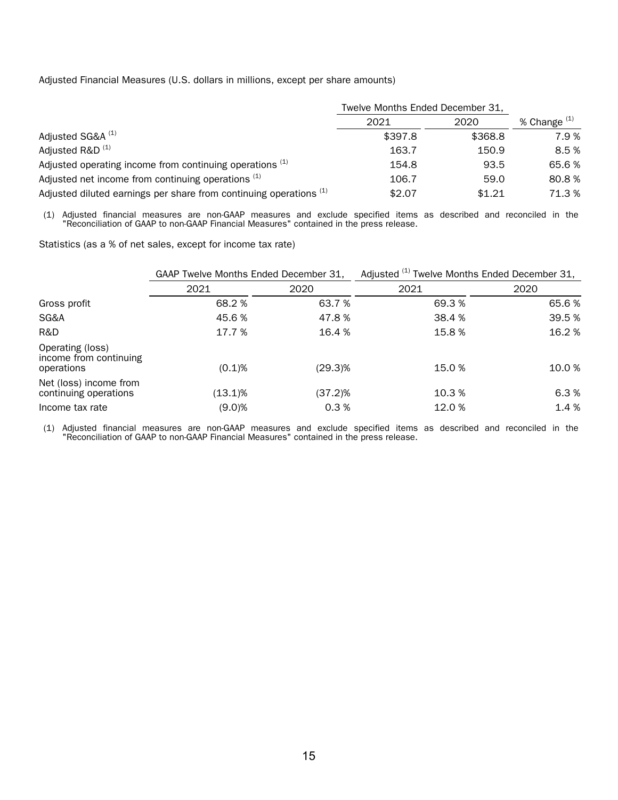Adjusted Financial Measures (U.S. dollars in millions, except per share amounts)

|                                                                               | Twelve Months Ended December 31, |         |              |
|-------------------------------------------------------------------------------|----------------------------------|---------|--------------|
|                                                                               | 2021                             | 2020    | % Change (1) |
| Adjusted SG&A <sup>(1)</sup>                                                  | \$397.8                          | \$368.8 | 7.9%         |
| Adjusted R&D <sup>(1)</sup>                                                   | 163.7                            | 150.9   | 8.5%         |
| Adjusted operating income from continuing operations (1)                      | 154.8                            | 93.5    | 65.6%        |
| Adjusted net income from continuing operations (1)                            | 106.7                            | 59.0    | 80.8%        |
| Adjusted diluted earnings per share from continuing operations <sup>(1)</sup> | \$2.07                           | \$1.21  | 71.3%        |

(1) Adjusted financial measures are non-GAAP measures and exclude specified items as described and reconciled in the "Reconciliation of GAAP to non-GAAP Financial Measures" contained in the press release.

Statistics (as a % of net sales, except for income tax rate)

|                                                          | GAAP Twelve Months Ended December 31, |         | Adjusted <sup>(1)</sup> Twelve Months Ended December 31, |        |  |  |
|----------------------------------------------------------|---------------------------------------|---------|----------------------------------------------------------|--------|--|--|
|                                                          | 2021                                  | 2020    | 2021                                                     | 2020   |  |  |
| Gross profit                                             | 68.2 %                                | 63.7 %  | 69.3 %                                                   | 65.6%  |  |  |
| SG&A                                                     | 45.6 %                                | 47.8 %  | 38.4 %                                                   | 39.5 % |  |  |
| R&D                                                      | 17.7 %                                | 16.4 %  | 15.8%                                                    | 16.2 % |  |  |
| Operating (loss)<br>income from continuing<br>operations | $(0.1)$ %                             | (29.3)% | 15.0 %                                                   | 10.0 % |  |  |
| Net (loss) income from<br>continuing operations          | (13.1)%                               | (37.2)% | 10.3 %                                                   | 6.3 %  |  |  |
| Income tax rate                                          | (9.0)%                                | 0.3%    | 12.0 %                                                   | 1.4 %  |  |  |

(1) Adjusted financial measures are non-GAAP measures and exclude specified items as described and reconciled in the "Reconciliation of GAAP to non-GAAP Financial Measures" contained in the press release.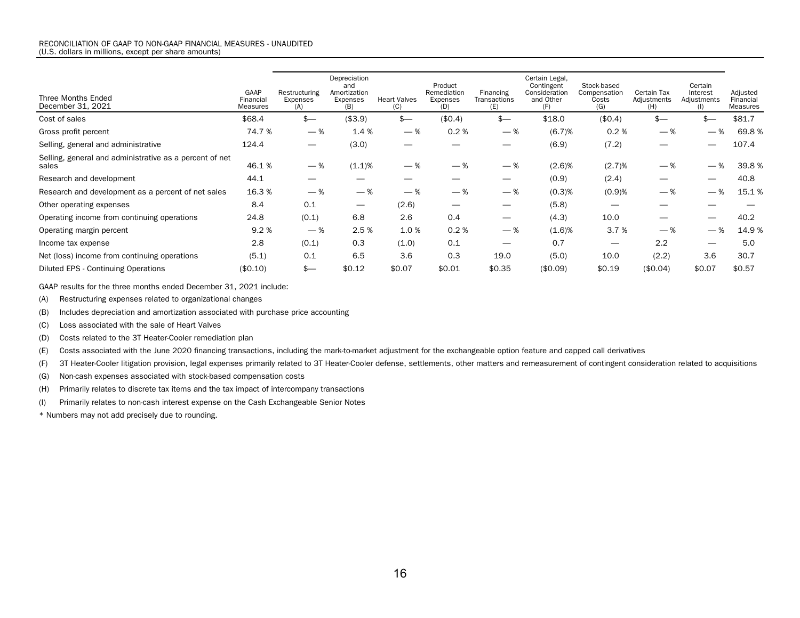| GAAP<br>Financial<br>Measures                                    | Restructuring<br>Expenses<br>(A) | Depreciation<br>and<br>Amortization<br>Expenses<br>(B) | <b>Heart Valves</b><br>(C)       | Product<br>Remediation<br>Expenses<br>(D) | Financing<br>Transactions<br>(E) | Certain Legal,<br>Contingent<br>Consideration<br>and Other<br>(F) | Stock-based<br>Compensation<br>Costs<br>(G) | Certain Tax<br>Adjustments<br>(H) | Certain<br>Interest<br>Adjustments<br>(1) | Adjusted<br>Financial<br>Measures                      |
|------------------------------------------------------------------|----------------------------------|--------------------------------------------------------|----------------------------------|-------------------------------------------|----------------------------------|-------------------------------------------------------------------|---------------------------------------------|-----------------------------------|-------------------------------------------|--------------------------------------------------------|
| \$68.4                                                           | $$-$                             | (\$3.9)                                                | $s-$                             | (\$0.4)                                   | $s-$                             | \$18.0                                                            | (\$0.4)                                     | $s-$                              |                                           | \$81.7                                                 |
| 74.7 %                                                           |                                  |                                                        |                                  | 0.2%                                      |                                  | (6.7)%                                                            |                                             |                                   |                                           | 69.8%                                                  |
| 124.4                                                            |                                  | (3.0)                                                  | $\overline{\phantom{0}}$         |                                           |                                  | (6.9)                                                             | (7.2)                                       | –                                 |                                           | 107.4                                                  |
| Selling, general and administrative as a percent of net<br>46.1% |                                  |                                                        | $-$ %                            | $-$ %                                     |                                  | (2.6)%                                                            |                                             |                                   |                                           | 39.8%                                                  |
| 44.1                                                             |                                  |                                                        |                                  |                                           |                                  | (0.9)                                                             | (2.4)                                       | --                                |                                           | 40.8                                                   |
| 16.3 %                                                           |                                  |                                                        | $-$ %                            | $-$ %                                     |                                  | (0.3)%                                                            |                                             |                                   |                                           | 15.1%                                                  |
| 8.4                                                              | 0.1                              | $\overline{\phantom{0}}$                               | (2.6)                            |                                           | $\overline{\phantom{a}}$         | (5.8)                                                             |                                             |                                   |                                           |                                                        |
| 24.8                                                             | (0.1)                            | 6.8                                                    | 2.6                              | 0.4                                       | $\hspace{0.05cm}$                | (4.3)                                                             | 10.0                                        |                                   |                                           | 40.2                                                   |
| 9.2%                                                             |                                  |                                                        |                                  | 0.2%                                      |                                  | (1.6)%                                                            |                                             |                                   |                                           | 14.9%                                                  |
| 2.8                                                              | (0.1)                            | 0.3                                                    | (1.0)                            | 0.1                                       |                                  | 0.7                                                               |                                             | 2.2                               |                                           | 5.0                                                    |
| (5.1)                                                            | 0.1                              | 6.5                                                    | 3.6                              | 0.3                                       | 19.0                             | (5.0)                                                             | 10.0                                        | (2.2)                             | 3.6                                       | 30.7                                                   |
| (\$0.10)                                                         | $s-$                             | \$0.12                                                 | \$0.07                           | \$0.01                                    | \$0.35                           | (\$0.09)                                                          | \$0.19                                      | (\$0.04)                          | \$0.07                                    | \$0.57                                                 |
|                                                                  |                                  |                                                        | $-$ %<br>$-$ %<br>$-$ %<br>$-$ % | 1.4 %<br>(1.1)%<br>$-$ %<br>2.5 %         | — %<br>1.0%                      |                                                                   | $-$ %<br>$-$ %<br>$-$ %<br>$-$ %            |                                   | 0.2%<br>(2.7)%<br>(0.9)%<br>3.7%          | — %<br>— %<br>$-$ %<br>— %<br>— %<br>— %<br>— %<br>— % |

GAAP results for the three months ended December 31, 2021 include:

(A) Restructuring expenses related to organizational changes

(B) Includes depreciation and amortization associated with purchase price accounting

(C) Loss associated with the sale of Heart Valves

(D) Costs related to the 3T Heater-Cooler remediation plan

(E) Costs associated with the June 2020 financing transactions, including the mark-to-market adjustment for the exchangeable option feature and capped call derivatives

(F) 3T Heater-Cooler litigation provision, legal expenses primarily related to 3T Heater-Cooler defense, settlements, other matters and remeasurement of contingent consideration related to acquisitions

(G) Non-cash expenses associated with stock-based compensation costs

(H) Primarily relates to discrete tax items and the tax impact of intercompany transactions

(I) Primarily relates to non-cash interest expense on the Cash Exchangeable Senior Notes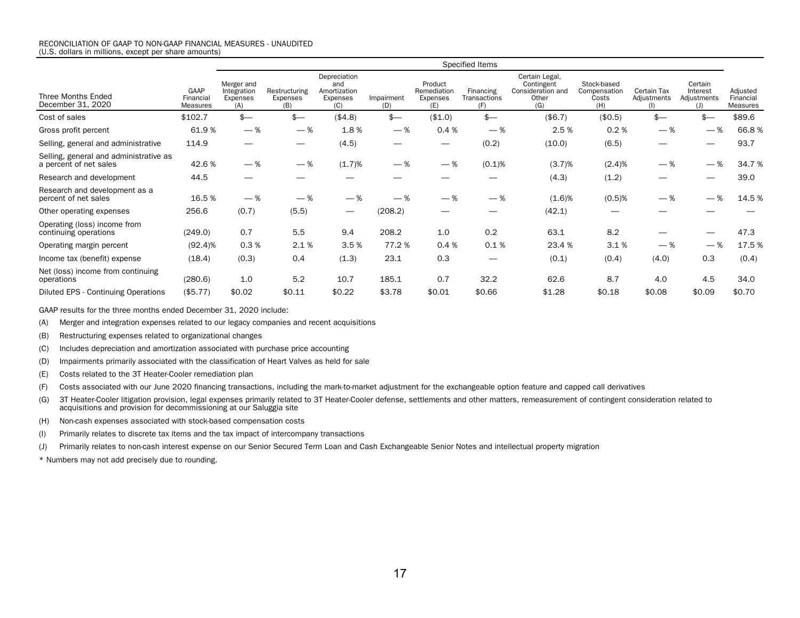|                                                                  |                               | Specified Items                              |                                  |                                                        |                   |                                           |                                  |                                                                   |                                             |                                   |                                           |                                   |
|------------------------------------------------------------------|-------------------------------|----------------------------------------------|----------------------------------|--------------------------------------------------------|-------------------|-------------------------------------------|----------------------------------|-------------------------------------------------------------------|---------------------------------------------|-----------------------------------|-------------------------------------------|-----------------------------------|
| Three Months Ended<br>December 31, 2020                          | GAAP<br>Financial<br>Measures | Merger and<br>Integration<br>Expenses<br>(A) | Restructuring<br>Expenses<br>(B) | Depreciation<br>and<br>Amortization<br>Expenses<br>(C) | Impairment<br>(D) | Product<br>Remediation<br>Expenses<br>(E) | Financing<br>Transactions<br>(F) | Certain Legal,<br>Contingent<br>Consideration and<br>Other<br>(G) | Stock-based<br>Compensation<br>Costs<br>(H) | Certain Tax<br>Adjustments<br>(1) | Certain<br>Interest<br>Adjustments<br>(I) | Adjusted<br>Financial<br>Measures |
| Cost of sales                                                    | \$102.7                       | $$-$                                         | $$ -$                            | ( \$4.8)                                               | $$-$              | (\$1.0)                                   | $$-$                             | (\$6.7)                                                           | (\$0.5)                                     | $$ -$                             | $s-$                                      | \$89.6                            |
| Gross profit percent                                             | 61.9%                         | $-$ %                                        | $-$ %                            | 1.8%                                                   | $-$ %             | 0.4%                                      | $-$ %                            | 2.5 %                                                             | 0.2%                                        | $-$ %                             | $-$ %                                     | 66.8%                             |
| Selling, general and administrative                              | 114.9                         |                                              | $\overline{\phantom{0}}$         | (4.5)                                                  |                   |                                           | (0.2)                            | (10.0)                                                            | (6.5)                                       | —                                 |                                           | 93.7                              |
| Selling, general and administrative as<br>a percent of net sales | 42.6%                         | $-$ %                                        | $-$ %                            | (1.7)%                                                 | $-$ %             | $-$ %                                     | (0.1)%                           | (3.7)%                                                            | (2.4)%                                      | $-$ %                             | $-$ %                                     | 34.7%                             |
| Research and development                                         | 44.5                          |                                              |                                  |                                                        |                   |                                           |                                  | (4.3)                                                             | (1.2)                                       |                                   |                                           | 39.0                              |
| Research and development as a<br>percent of net sales            | 16.5 %                        | $-$ %                                        | $-$ %                            | $-$ %                                                  | $-$ %             | $-$ %                                     | — %                              | (1.6)%                                                            | $(0.5)$ %                                   | $-$ %                             | $-$ %                                     | 14.5 %                            |
| Other operating expenses                                         | 256.6                         | (0.7)                                        | (5.5)                            |                                                        | (208.2)           |                                           |                                  | (42.1)                                                            |                                             |                                   |                                           |                                   |
| Operating (loss) income from<br>continuing operations            | (249.0)                       | 0.7                                          | 5.5                              | 9.4                                                    | 208.2             | 1.0                                       | 0.2                              | 63.1                                                              | 8.2                                         |                                   |                                           | 47.3                              |
| Operating margin percent                                         | $(92.4)$ %                    | 0.3%                                         | 2.1%                             | 3.5 %                                                  | 77.2 %            | 0.4%                                      | 0.1%                             | 23.4 %                                                            | 3.1%                                        | $-$ %                             | $-$ %                                     | 17.5 %                            |
| Income tax (benefit) expense                                     | (18.4)                        | (0.3)                                        | 0.4                              | (1.3)                                                  | 23.1              | 0.3                                       |                                  | (0.1)                                                             | (0.4)                                       | (4.0)                             | 0.3                                       | (0.4)                             |
| Net (loss) income from continuing<br>operations                  | (280.6)                       | 1.0                                          | 5.2                              | 10.7                                                   | 185.1             | 0.7                                       | 32.2                             | 62.6                                                              | 8.7                                         | 4.0                               | 4.5                                       | 34.0                              |
| Diluted EPS - Continuing Operations                              | (\$5.77)                      | \$0.02                                       | \$0.11                           | \$0.22                                                 | \$3.78            | \$0.01                                    | \$0.66                           | \$1.28                                                            | \$0.18                                      | \$0.08                            | \$0.09                                    | \$0.70                            |

GAAP results for the three months ended December 31, 2020 include:

(A) Merger and integration expenses related to our legacy companies and recent acquisitions

(B) Restructuring expenses related to organizational changes

(C) Includes depreciation and amortization associated with purchase price accounting

(D) Impairments primarily associated with the classification of Heart Valves as held for sale

(E) Costs related to the 3T Heater-Cooler remediation plan

(F) Costs associated with our June 2020 financing transactions, including the mark-to-market adjustment for the exchangeable option feature and capped call derivatives

(G) 3T Heater-Cooler litigation provision, legal expenses primarily related to 3T Heater-Cooler defense, settlements and other matters, remeasurement of contingent consideration related to acquisitions and provision for decommissioning at our Saluggia site

(H) Non-cash expenses associated with stock-based compensation costs

(I) Primarily relates to discrete tax items and the tax impact of intercompany transactions

(J) Primarily relates to non-cash interest expense on our Senior Secured Term Loan and Cash Exchangeable Senior Notes and intellectual property migration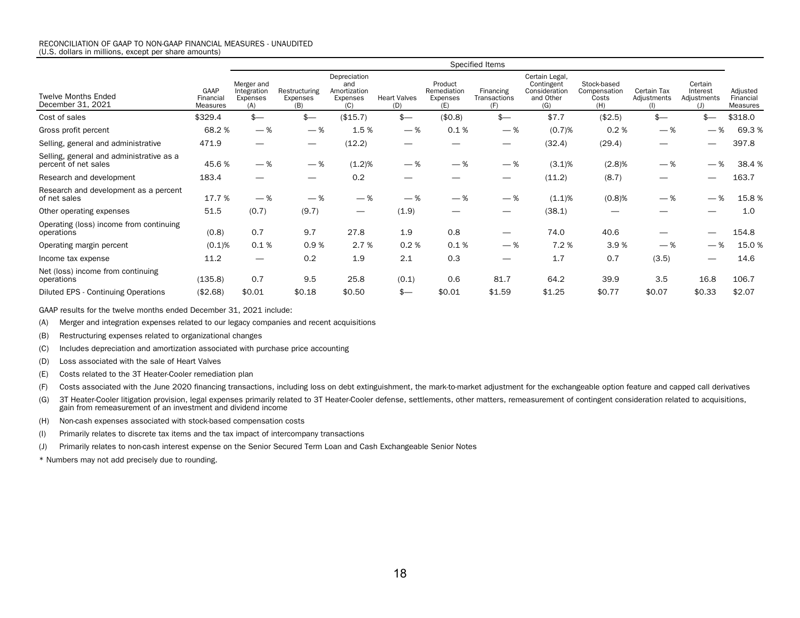|                                                                  |                               | Specified Items                              |                                  |                                                        |                            |                                           |                                  |                                                                   |                                             |                                   |                                           |                                          |
|------------------------------------------------------------------|-------------------------------|----------------------------------------------|----------------------------------|--------------------------------------------------------|----------------------------|-------------------------------------------|----------------------------------|-------------------------------------------------------------------|---------------------------------------------|-----------------------------------|-------------------------------------------|------------------------------------------|
| <b>Twelve Months Ended</b><br>December 31, 2021                  | GAAP<br>Financial<br>Measures | Merger and<br>Integration<br>Expenses<br>(A) | Restructuring<br>Expenses<br>(B) | Depreciation<br>and<br>Amortization<br>Expenses<br>(C) | <b>Heart Valves</b><br>(D) | Product<br>Remediation<br>Expenses<br>(E) | Financing<br>Transactions<br>(F) | Certain Legal,<br>Contingent<br>Consideration<br>and Other<br>(G) | Stock-based<br>Compensation<br>Costs<br>(H) | Certain Tax<br>Adjustments<br>(1) | Certain<br>Interest<br>Adjustments<br>(J) | Adjusted<br>Financial<br><b>Measures</b> |
| Cost of sales                                                    | \$329.4                       | $$-$                                         | $s-$                             | (\$15.7)                                               | $s-$                       | (\$0.8)                                   | $$-$                             | \$7.7                                                             | (\$2.5)                                     | $$-$                              | $s-$                                      | \$318.0                                  |
| Gross profit percent                                             | 68.2%                         | $-$ %                                        | $-$ %                            | 1.5%                                                   | $-$ %                      | 0.1%                                      | $-$ %                            | (0.7)%                                                            | 0.2%                                        | $-$ %                             | $-$ %                                     | 69.3%                                    |
| Selling, general and administrative                              | 471.9                         | —                                            |                                  | (12.2)                                                 |                            |                                           | $\overline{\phantom{0}}$         | (32.4)                                                            | (29.4)                                      |                                   |                                           | 397.8                                    |
| Selling, general and administrative as a<br>percent of net sales | 45.6 %                        | $-$ %                                        | $-$ %                            | (1.2)%                                                 | $-$ %                      | $-$ %                                     | $-$ %                            | $(3.1)\%$                                                         | (2.8)%                                      | $-$ %                             | %<br>$\overline{\phantom{a}}$             | 38.4%                                    |
| Research and development                                         | 183.4                         |                                              |                                  | 0.2                                                    |                            |                                           | —                                | (11.2)                                                            | (8.7)                                       |                                   |                                           | 163.7                                    |
| Research and development as a percent<br>of net sales            | 17.7 %                        | $-$ %                                        | $-$ %                            | $-$ %                                                  | $-$ %                      | $-$ %                                     | — %                              | (1.1)%                                                            | $(0.8)$ %                                   | $-$ %                             | $-$ %                                     | 15.8%                                    |
| Other operating expenses                                         | 51.5                          | (0.7)                                        | (9.7)                            | $\qquad \qquad \longleftarrow$                         | (1.9)                      |                                           | —                                | (38.1)                                                            |                                             |                                   |                                           | 1.0                                      |
| Operating (loss) income from continuing<br>operations            | (0.8)                         | 0.7                                          | 9.7                              | 27.8                                                   | 1.9                        | 0.8                                       |                                  | 74.0                                                              | 40.6                                        |                                   |                                           | 154.8                                    |
| Operating margin percent                                         | (0.1)%                        | 0.1%                                         | 0.9%                             | 2.7 %                                                  | 0.2%                       | 0.1%                                      | $-$ %                            | 7.2%                                                              | 3.9%                                        | $-$ %                             | $-$ %                                     | 15.0%                                    |
| Income tax expense                                               | 11.2                          |                                              | 0.2                              | 1.9                                                    | 2.1                        | 0.3                                       |                                  | 1.7                                                               | 0.7                                         | (3.5)                             |                                           | 14.6                                     |
| Net (loss) income from continuing<br>operations                  | (135.8)                       | 0.7                                          | 9.5                              | 25.8                                                   | (0.1)                      | 0.6                                       | 81.7                             | 64.2                                                              | 39.9                                        | 3.5                               | 16.8                                      | 106.7                                    |
| Diluted EPS - Continuing Operations                              | (\$2.68)                      | \$0.01                                       | \$0.18                           | \$0.50                                                 | $s-$                       | \$0.01                                    | \$1.59                           | \$1.25                                                            | \$0.77                                      | \$0.07                            | \$0.33                                    | \$2.07                                   |

GAAP results for the twelve months ended December 31, 2021 include:

(A) Merger and integration expenses related to our legacy companies and recent acquisitions

(B) Restructuring expenses related to organizational changes

(C) Includes depreciation and amortization associated with purchase price accounting

(D) Loss associated with the sale of Heart Valves

(E) Costs related to the 3T Heater-Cooler remediation plan

(F) Costs associated with the June 2020 financing transactions, including loss on debt extinguishment, the mark-to-market adjustment for the exchangeable option feature and capped call derivatives

(G) 3T Heater-Cooler litigation provision, legal expenses primarily related to 3T Heater-Cooler defense, settlements, other matters, remeasurement of contingent consideration related to acquisitions, gain from remeasurement of an investment and dividend income

(H) Non-cash expenses associated with stock-based compensation costs

(I) Primarily relates to discrete tax items and the tax impact of intercompany transactions

(J) Primarily relates to non-cash interest expense on the Senior Secured Term Loan and Cash Exchangeable Senior Notes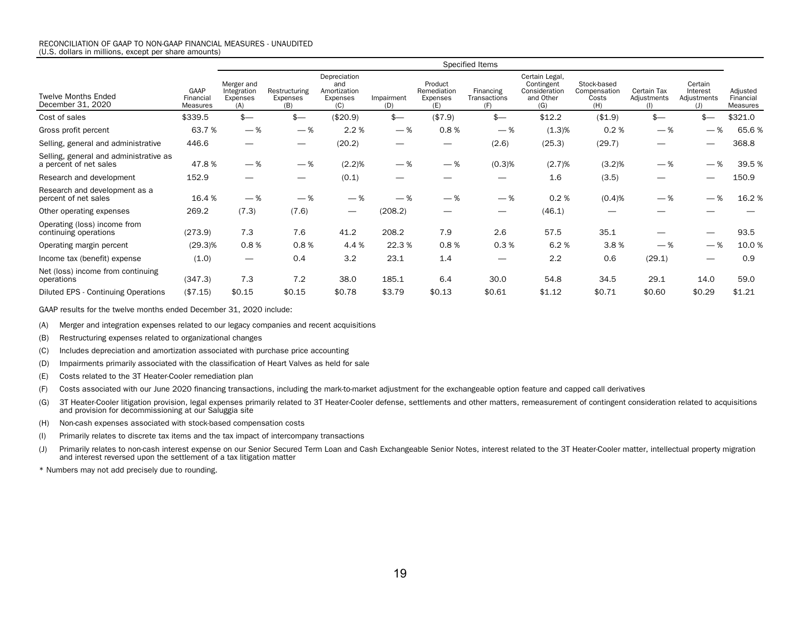|                                                                  | Specified Items                      |                                              |                                  |                                                        |                   |                                           |                                  |                                                                   |                                             |                            |                                                         |                                   |
|------------------------------------------------------------------|--------------------------------------|----------------------------------------------|----------------------------------|--------------------------------------------------------|-------------------|-------------------------------------------|----------------------------------|-------------------------------------------------------------------|---------------------------------------------|----------------------------|---------------------------------------------------------|-----------------------------------|
| <b>Twelve Months Ended</b><br>December 31, 2020                  | GAAP<br>Financial<br><b>Measures</b> | Merger and<br>Integration<br>Expenses<br>(A) | Restructuring<br>Expenses<br>(B) | Depreciation<br>and<br>Amortization<br>Expenses<br>(C) | Impairment<br>(D) | Product<br>Remediation<br>Expenses<br>(E) | Financing<br>Transactions<br>(F) | Certain Legal,<br>Contingent<br>Consideration<br>and Other<br>(G) | Stock-based<br>Compensation<br>Costs<br>(H) | Certain Tax<br>Adjustments | Certain<br>Interest<br>Adjustments<br>$\left( 1\right)$ | Adjusted<br>Financial<br>Measures |
| Cost of sales                                                    | \$339.5                              | $$-$                                         | $$-$                             | (\$20.9)                                               | $$-$              | (\$7.9)                                   | $\frac{2}{2}$                    | \$12.2                                                            | (\$1.9)                                     | $$-$                       |                                                         | \$321.0                           |
| Gross profit percent                                             | 63.7%                                | $-$ %                                        | $-$ %                            | 2.2 %                                                  | $-$ %             | 0.8%                                      | $-$ %                            | (1.3)%                                                            | 0.2%                                        | — %                        | — %                                                     | 65.6%                             |
| Selling, general and administrative                              | 446.6                                |                                              |                                  | (20.2)                                                 |                   |                                           | (2.6)                            | (25.3)                                                            | (29.7)                                      |                            |                                                         | 368.8                             |
| Selling, general and administrative as<br>a percent of net sales | 47.8%                                | $-$ %                                        | $-$ %                            | (2.2)%                                                 | $-$ %             | $-$ %                                     | (0.3)%                           | (2.7)%                                                            | (3.2)%                                      | — %                        | $-$ %                                                   | 39.5 %                            |
| Research and development                                         | 152.9                                |                                              |                                  | (0.1)                                                  |                   |                                           |                                  | 1.6                                                               | (3.5)                                       |                            |                                                         | 150.9                             |
| Research and development as a<br>percent of net sales            | 16.4 %                               | $-$ %                                        | $-$ %                            | $-$ %                                                  | $-$ %             | $-$ %                                     | $-$ %                            | 0.2%                                                              | (0.4)%                                      | $-$ %                      | $-$ %                                                   | 16.2%                             |
| Other operating expenses                                         | 269.2                                | (7.3)                                        | (7.6)                            | $\qquad \qquad -$                                      | (208.2)           |                                           | $\hspace{0.05cm}$                | (46.1)                                                            |                                             |                            |                                                         |                                   |
| Operating (loss) income from<br>continuing operations            | (273.9)                              | 7.3                                          | 7.6                              | 41.2                                                   | 208.2             | 7.9                                       | 2.6                              | 57.5                                                              | 35.1                                        |                            |                                                         | 93.5                              |
| Operating margin percent                                         | $(29.3)\%$                           | 0.8%                                         | 0.8%                             | 4.4 %                                                  | 22.3 %            | 0.8%                                      | 0.3%                             | 6.2%                                                              | 3.8%                                        | — %                        | $-$ %                                                   | 10.0%                             |
| Income tax (benefit) expense                                     | (1.0)                                | $\hspace{0.05cm}$                            | 0.4                              | 3.2                                                    | 23.1              | 1.4                                       | $\overline{\phantom{m}}$         | 2.2                                                               | 0.6                                         | (29.1)                     |                                                         | 0.9                               |
| Net (loss) income from continuing<br>operations                  | (347.3)                              | 7.3                                          | 7.2                              | 38.0                                                   | 185.1             | 6.4                                       | 30.0                             | 54.8                                                              | 34.5                                        | 29.1                       | 14.0                                                    | 59.0                              |
| Diluted EPS - Continuing Operations                              | (\$7.15)                             | \$0.15                                       | \$0.15                           | \$0.78                                                 | \$3.79            | \$0.13                                    | \$0.61                           | \$1.12                                                            | \$0.71                                      | \$0.60                     | \$0.29                                                  | \$1.21                            |

GAAP results for the twelve months ended December 31, 2020 include:

(A) Merger and integration expenses related to our legacy companies and recent acquisitions

(B) Restructuring expenses related to organizational changes

(C) Includes depreciation and amortization associated with purchase price accounting

(D) Impairments primarily associated with the classification of Heart Valves as held for sale

(E) Costs related to the 3T Heater-Cooler remediation plan

(F) Costs associated with our June 2020 financing transactions, including the mark-to-market adjustment for the exchangeable option feature and capped call derivatives

(G) 3T Heater-Cooler litigation provision, legal expenses primarily related to 3T Heater-Cooler defense, settlements and other matters, remeasurement of contingent consideration related to acquisitions and provision for decommissioning at our Saluggia site

(H) Non-cash expenses associated with stock-based compensation costs

(I) Primarily relates to discrete tax items and the tax impact of intercompany transactions

(J) Primarily relates to non-cash interest expense on our Senior Secured Term Loan and Cash Exchangeable Senior Notes, interest related to the 3T Heater-Cooler matter, intellectual property migration and interest reversed upon the settlement of a tax litigation matter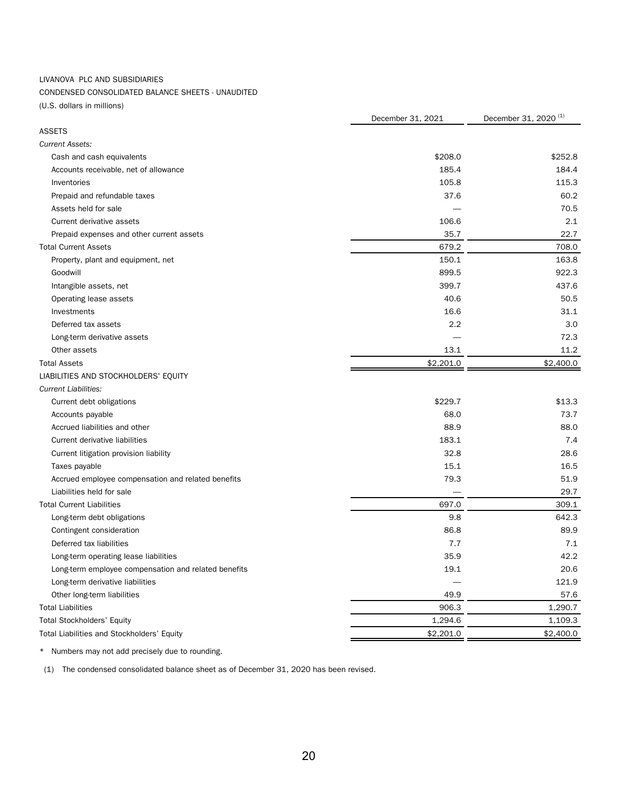### LIVANOVA PLC AND SUBSIDIARIES

## CONDENSED CONSOLIDATED BALANCE SHEETS - UNAUDITED

(U.S. dollars in millions)

|                                                      | December 31, 2021 | December 31, 2020 <sup>(1)</sup> |  |
|------------------------------------------------------|-------------------|----------------------------------|--|
| <b>ASSETS</b>                                        |                   |                                  |  |
| <b>Current Assets:</b>                               |                   |                                  |  |
| Cash and cash equivalents                            | \$208.0           | \$252.8                          |  |
| Accounts receivable, net of allowance                | 185.4             | 184.4                            |  |
| Inventories                                          | 105.8             | 115.3                            |  |
| Prepaid and refundable taxes                         | 37.6              | 60.2                             |  |
| Assets held for sale                                 |                   | 70.5                             |  |
| Current derivative assets                            | 106.6             | 2.1                              |  |
| Prepaid expenses and other current assets            | 35.7              | 22.7                             |  |
| <b>Total Current Assets</b>                          | 679.2             | 708.0                            |  |
| Property, plant and equipment, net                   | 150.1             | 163.8                            |  |
| Goodwill                                             | 899.5             | 922.3                            |  |
| Intangible assets, net                               | 399.7             | 437.6                            |  |
| Operating lease assets                               | 40.6              | 50.5                             |  |
| Investments                                          | 16.6              | 31.1                             |  |
| Deferred tax assets                                  | 2.2               | 3.0                              |  |
| Long-term derivative assets                          |                   | 72.3                             |  |
| Other assets                                         | 13.1              | 11.2                             |  |
| <b>Total Assets</b>                                  | \$2,201.0         | \$2,400.0                        |  |
| LIABILITIES AND STOCKHOLDERS' EQUITY                 |                   |                                  |  |
| <b>Current Liabilities:</b>                          |                   |                                  |  |
| Current debt obligations                             | \$229.7           | \$13.3                           |  |
| Accounts payable                                     | 68.0              | 73.7                             |  |
| Accrued liabilities and other                        | 88.9              | 88.0                             |  |
| Current derivative liabilities                       | 183.1             | 7.4                              |  |
| Current litigation provision liability               | 32.8              | 28.6                             |  |
| Taxes payable                                        | 15.1              | 16.5                             |  |
| Accrued employee compensation and related benefits   | 79.3              | 51.9                             |  |
| Liabilities held for sale                            |                   | 29.7                             |  |
| <b>Total Current Liabilities</b>                     | 697.0             | 309.1                            |  |
| Long-term debt obligations                           | 9.8               | 642.3                            |  |
| Contingent consideration                             | 86.8              | 89.9                             |  |
| Deferred tax liabilities                             | 7.7               | 7.1                              |  |
| Long-term operating lease liabilities                | 35.9              | 42.2                             |  |
| Long-term employee compensation and related benefits | 19.1              | 20.6                             |  |
| Long-term derivative liabilities                     |                   | 121.9                            |  |
| Other long-term liabilities                          | 49.9              | 57.6                             |  |
| <b>Total Liabilities</b>                             | 906.3             | 1,290.7                          |  |
| <b>Total Stockholders' Equity</b>                    | 1,294.6           | 1,109.3                          |  |
| Total Liabilities and Stockholders' Equity           | \$2,201.0         | \$2,400.0                        |  |

\* Numbers may not add precisely due to rounding.

(1) The condensed consolidated balance sheet as of December 31, 2020 has been revised.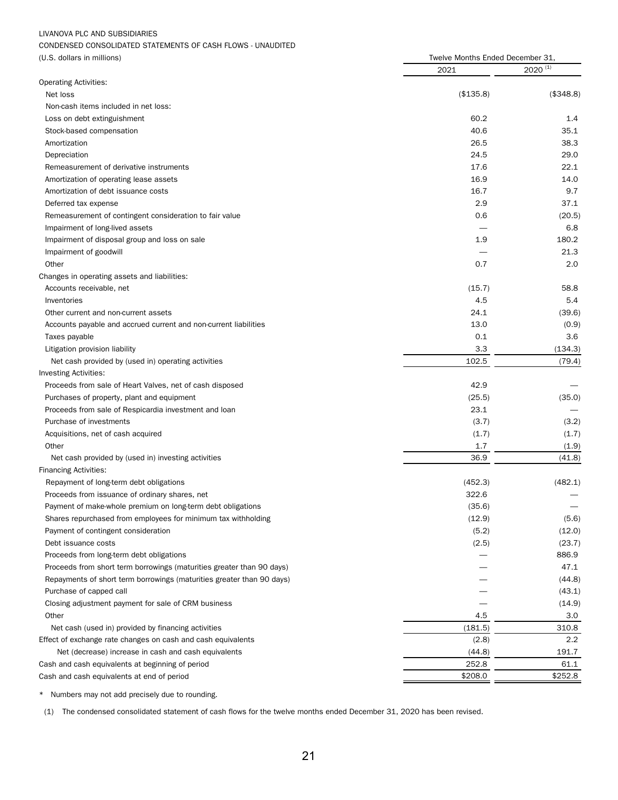## LIVANOVA PLC AND SUBSIDIARIES

## CONDENSED CONSOLIDATED STATEMENTS OF CASH FLOWS - UNAUDITED

| $2020^{(1)}$<br>2021<br>Net loss<br>(\$135.8)<br>(\$348.8)<br>Non-cash items included in net loss:<br>60.2<br>Loss on debt extinguishment<br>1.4<br>40.6<br>35.1<br>Stock-based compensation<br>26.5<br>38.3<br>Amortization<br>24.5<br>29.0<br>Depreciation<br>17.6<br>22.1<br>Remeasurement of derivative instruments<br>16.9<br>14.0<br>Amortization of operating lease assets<br>16.7<br>9.7<br>Amortization of debt issuance costs<br>2.9<br>37.1<br>Deferred tax expense<br>0.6<br>Remeasurement of contingent consideration to fair value<br>(20.5)<br>6.8<br>Impairment of long-lived assets<br>1.9<br>180.2<br>Impairment of disposal group and loss on sale<br>Impairment of goodwill<br>21.3<br>0.7<br>Other<br>2.0<br>Changes in operating assets and liabilities:<br>58.8<br>Accounts receivable, net<br>(15.7)<br>4.5<br>5.4<br>Inventories<br>24.1<br>(39.6)<br>Other current and non-current assets<br>13.0<br>Accounts payable and accrued current and non-current liabilities<br>(0.9)<br>0.1<br>3.6<br>Taxes payable<br>3.3<br>(134.3)<br>Litigation provision liability<br>102.5<br>(79.4)<br>Net cash provided by (used in) operating activities<br>42.9<br>Proceeds from sale of Heart Valves, net of cash disposed<br>(25.5)<br>(35.0)<br>Purchases of property, plant and equipment<br>Proceeds from sale of Respicardia investment and loan<br>23.1<br>Purchase of investments<br>(3.7)<br>(3.2)<br>Acquisitions, net of cash acquired<br>(1.7)<br>(1.7)<br>Other<br>1.7<br>(1.9)<br>36.9<br>Net cash provided by (used in) investing activities<br>(41.8)<br>Repayment of long-term debt obligations<br>(452.3)<br>(482.1)<br>322.6<br>Proceeds from issuance of ordinary shares, net<br>Payment of make-whole premium on long-term debt obligations<br>(35.6)<br>(12.9)<br>Shares repurchased from employees for minimum tax withholding<br>(5.6)<br>(5.2)<br>Payment of contingent consideration<br>(12.0)<br>(2.5)<br>(23.7)<br>Debt issuance costs<br>886.9<br>Proceeds from long-term debt obligations<br>47.1<br>Proceeds from short term borrowings (maturities greater than 90 days)<br>Repayments of short term borrowings (maturities greater than 90 days)<br>(44.8)<br>Purchase of capped call<br>(43.1)<br>Closing adjustment payment for sale of CRM business<br>(14.9)<br>Other<br>4.5<br>3.0<br>310.8<br>Net cash (used in) provided by financing activities<br>(181.5)<br>$2.2\phantom{0}$<br>Effect of exchange rate changes on cash and cash equivalents<br>(2.8)<br>Net (decrease) increase in cash and cash equivalents<br>(44.8)<br>191.7<br>252.8<br>Cash and cash equivalents at beginning of period<br>61.1<br>\$208.0<br>\$252.8 | (U.S. dollars in millions)                 | Twelve Months Ended December 31, |  |
|--------------------------------------------------------------------------------------------------------------------------------------------------------------------------------------------------------------------------------------------------------------------------------------------------------------------------------------------------------------------------------------------------------------------------------------------------------------------------------------------------------------------------------------------------------------------------------------------------------------------------------------------------------------------------------------------------------------------------------------------------------------------------------------------------------------------------------------------------------------------------------------------------------------------------------------------------------------------------------------------------------------------------------------------------------------------------------------------------------------------------------------------------------------------------------------------------------------------------------------------------------------------------------------------------------------------------------------------------------------------------------------------------------------------------------------------------------------------------------------------------------------------------------------------------------------------------------------------------------------------------------------------------------------------------------------------------------------------------------------------------------------------------------------------------------------------------------------------------------------------------------------------------------------------------------------------------------------------------------------------------------------------------------------------------------------------------------------------------------------------------------------------------------------------------------------------------------------------------------------------------------------------------------------------------------------------------------------------------------------------------------------------------------------------------------------------------------------------------------------------------------------------------------------------------------------------------------------------------------------------------------------------------------------------------------------|--------------------------------------------|----------------------------------|--|
|                                                                                                                                                                                                                                                                                                                                                                                                                                                                                                                                                                                                                                                                                                                                                                                                                                                                                                                                                                                                                                                                                                                                                                                                                                                                                                                                                                                                                                                                                                                                                                                                                                                                                                                                                                                                                                                                                                                                                                                                                                                                                                                                                                                                                                                                                                                                                                                                                                                                                                                                                                                                                                                                                      |                                            |                                  |  |
|                                                                                                                                                                                                                                                                                                                                                                                                                                                                                                                                                                                                                                                                                                                                                                                                                                                                                                                                                                                                                                                                                                                                                                                                                                                                                                                                                                                                                                                                                                                                                                                                                                                                                                                                                                                                                                                                                                                                                                                                                                                                                                                                                                                                                                                                                                                                                                                                                                                                                                                                                                                                                                                                                      | <b>Operating Activities:</b>               |                                  |  |
|                                                                                                                                                                                                                                                                                                                                                                                                                                                                                                                                                                                                                                                                                                                                                                                                                                                                                                                                                                                                                                                                                                                                                                                                                                                                                                                                                                                                                                                                                                                                                                                                                                                                                                                                                                                                                                                                                                                                                                                                                                                                                                                                                                                                                                                                                                                                                                                                                                                                                                                                                                                                                                                                                      |                                            |                                  |  |
|                                                                                                                                                                                                                                                                                                                                                                                                                                                                                                                                                                                                                                                                                                                                                                                                                                                                                                                                                                                                                                                                                                                                                                                                                                                                                                                                                                                                                                                                                                                                                                                                                                                                                                                                                                                                                                                                                                                                                                                                                                                                                                                                                                                                                                                                                                                                                                                                                                                                                                                                                                                                                                                                                      |                                            |                                  |  |
|                                                                                                                                                                                                                                                                                                                                                                                                                                                                                                                                                                                                                                                                                                                                                                                                                                                                                                                                                                                                                                                                                                                                                                                                                                                                                                                                                                                                                                                                                                                                                                                                                                                                                                                                                                                                                                                                                                                                                                                                                                                                                                                                                                                                                                                                                                                                                                                                                                                                                                                                                                                                                                                                                      |                                            |                                  |  |
|                                                                                                                                                                                                                                                                                                                                                                                                                                                                                                                                                                                                                                                                                                                                                                                                                                                                                                                                                                                                                                                                                                                                                                                                                                                                                                                                                                                                                                                                                                                                                                                                                                                                                                                                                                                                                                                                                                                                                                                                                                                                                                                                                                                                                                                                                                                                                                                                                                                                                                                                                                                                                                                                                      |                                            |                                  |  |
|                                                                                                                                                                                                                                                                                                                                                                                                                                                                                                                                                                                                                                                                                                                                                                                                                                                                                                                                                                                                                                                                                                                                                                                                                                                                                                                                                                                                                                                                                                                                                                                                                                                                                                                                                                                                                                                                                                                                                                                                                                                                                                                                                                                                                                                                                                                                                                                                                                                                                                                                                                                                                                                                                      |                                            |                                  |  |
|                                                                                                                                                                                                                                                                                                                                                                                                                                                                                                                                                                                                                                                                                                                                                                                                                                                                                                                                                                                                                                                                                                                                                                                                                                                                                                                                                                                                                                                                                                                                                                                                                                                                                                                                                                                                                                                                                                                                                                                                                                                                                                                                                                                                                                                                                                                                                                                                                                                                                                                                                                                                                                                                                      |                                            |                                  |  |
|                                                                                                                                                                                                                                                                                                                                                                                                                                                                                                                                                                                                                                                                                                                                                                                                                                                                                                                                                                                                                                                                                                                                                                                                                                                                                                                                                                                                                                                                                                                                                                                                                                                                                                                                                                                                                                                                                                                                                                                                                                                                                                                                                                                                                                                                                                                                                                                                                                                                                                                                                                                                                                                                                      |                                            |                                  |  |
|                                                                                                                                                                                                                                                                                                                                                                                                                                                                                                                                                                                                                                                                                                                                                                                                                                                                                                                                                                                                                                                                                                                                                                                                                                                                                                                                                                                                                                                                                                                                                                                                                                                                                                                                                                                                                                                                                                                                                                                                                                                                                                                                                                                                                                                                                                                                                                                                                                                                                                                                                                                                                                                                                      |                                            |                                  |  |
|                                                                                                                                                                                                                                                                                                                                                                                                                                                                                                                                                                                                                                                                                                                                                                                                                                                                                                                                                                                                                                                                                                                                                                                                                                                                                                                                                                                                                                                                                                                                                                                                                                                                                                                                                                                                                                                                                                                                                                                                                                                                                                                                                                                                                                                                                                                                                                                                                                                                                                                                                                                                                                                                                      |                                            |                                  |  |
|                                                                                                                                                                                                                                                                                                                                                                                                                                                                                                                                                                                                                                                                                                                                                                                                                                                                                                                                                                                                                                                                                                                                                                                                                                                                                                                                                                                                                                                                                                                                                                                                                                                                                                                                                                                                                                                                                                                                                                                                                                                                                                                                                                                                                                                                                                                                                                                                                                                                                                                                                                                                                                                                                      |                                            |                                  |  |
|                                                                                                                                                                                                                                                                                                                                                                                                                                                                                                                                                                                                                                                                                                                                                                                                                                                                                                                                                                                                                                                                                                                                                                                                                                                                                                                                                                                                                                                                                                                                                                                                                                                                                                                                                                                                                                                                                                                                                                                                                                                                                                                                                                                                                                                                                                                                                                                                                                                                                                                                                                                                                                                                                      |                                            |                                  |  |
|                                                                                                                                                                                                                                                                                                                                                                                                                                                                                                                                                                                                                                                                                                                                                                                                                                                                                                                                                                                                                                                                                                                                                                                                                                                                                                                                                                                                                                                                                                                                                                                                                                                                                                                                                                                                                                                                                                                                                                                                                                                                                                                                                                                                                                                                                                                                                                                                                                                                                                                                                                                                                                                                                      |                                            |                                  |  |
|                                                                                                                                                                                                                                                                                                                                                                                                                                                                                                                                                                                                                                                                                                                                                                                                                                                                                                                                                                                                                                                                                                                                                                                                                                                                                                                                                                                                                                                                                                                                                                                                                                                                                                                                                                                                                                                                                                                                                                                                                                                                                                                                                                                                                                                                                                                                                                                                                                                                                                                                                                                                                                                                                      |                                            |                                  |  |
|                                                                                                                                                                                                                                                                                                                                                                                                                                                                                                                                                                                                                                                                                                                                                                                                                                                                                                                                                                                                                                                                                                                                                                                                                                                                                                                                                                                                                                                                                                                                                                                                                                                                                                                                                                                                                                                                                                                                                                                                                                                                                                                                                                                                                                                                                                                                                                                                                                                                                                                                                                                                                                                                                      |                                            |                                  |  |
|                                                                                                                                                                                                                                                                                                                                                                                                                                                                                                                                                                                                                                                                                                                                                                                                                                                                                                                                                                                                                                                                                                                                                                                                                                                                                                                                                                                                                                                                                                                                                                                                                                                                                                                                                                                                                                                                                                                                                                                                                                                                                                                                                                                                                                                                                                                                                                                                                                                                                                                                                                                                                                                                                      |                                            |                                  |  |
|                                                                                                                                                                                                                                                                                                                                                                                                                                                                                                                                                                                                                                                                                                                                                                                                                                                                                                                                                                                                                                                                                                                                                                                                                                                                                                                                                                                                                                                                                                                                                                                                                                                                                                                                                                                                                                                                                                                                                                                                                                                                                                                                                                                                                                                                                                                                                                                                                                                                                                                                                                                                                                                                                      |                                            |                                  |  |
|                                                                                                                                                                                                                                                                                                                                                                                                                                                                                                                                                                                                                                                                                                                                                                                                                                                                                                                                                                                                                                                                                                                                                                                                                                                                                                                                                                                                                                                                                                                                                                                                                                                                                                                                                                                                                                                                                                                                                                                                                                                                                                                                                                                                                                                                                                                                                                                                                                                                                                                                                                                                                                                                                      |                                            |                                  |  |
|                                                                                                                                                                                                                                                                                                                                                                                                                                                                                                                                                                                                                                                                                                                                                                                                                                                                                                                                                                                                                                                                                                                                                                                                                                                                                                                                                                                                                                                                                                                                                                                                                                                                                                                                                                                                                                                                                                                                                                                                                                                                                                                                                                                                                                                                                                                                                                                                                                                                                                                                                                                                                                                                                      |                                            |                                  |  |
|                                                                                                                                                                                                                                                                                                                                                                                                                                                                                                                                                                                                                                                                                                                                                                                                                                                                                                                                                                                                                                                                                                                                                                                                                                                                                                                                                                                                                                                                                                                                                                                                                                                                                                                                                                                                                                                                                                                                                                                                                                                                                                                                                                                                                                                                                                                                                                                                                                                                                                                                                                                                                                                                                      |                                            |                                  |  |
|                                                                                                                                                                                                                                                                                                                                                                                                                                                                                                                                                                                                                                                                                                                                                                                                                                                                                                                                                                                                                                                                                                                                                                                                                                                                                                                                                                                                                                                                                                                                                                                                                                                                                                                                                                                                                                                                                                                                                                                                                                                                                                                                                                                                                                                                                                                                                                                                                                                                                                                                                                                                                                                                                      |                                            |                                  |  |
|                                                                                                                                                                                                                                                                                                                                                                                                                                                                                                                                                                                                                                                                                                                                                                                                                                                                                                                                                                                                                                                                                                                                                                                                                                                                                                                                                                                                                                                                                                                                                                                                                                                                                                                                                                                                                                                                                                                                                                                                                                                                                                                                                                                                                                                                                                                                                                                                                                                                                                                                                                                                                                                                                      |                                            |                                  |  |
|                                                                                                                                                                                                                                                                                                                                                                                                                                                                                                                                                                                                                                                                                                                                                                                                                                                                                                                                                                                                                                                                                                                                                                                                                                                                                                                                                                                                                                                                                                                                                                                                                                                                                                                                                                                                                                                                                                                                                                                                                                                                                                                                                                                                                                                                                                                                                                                                                                                                                                                                                                                                                                                                                      |                                            |                                  |  |
|                                                                                                                                                                                                                                                                                                                                                                                                                                                                                                                                                                                                                                                                                                                                                                                                                                                                                                                                                                                                                                                                                                                                                                                                                                                                                                                                                                                                                                                                                                                                                                                                                                                                                                                                                                                                                                                                                                                                                                                                                                                                                                                                                                                                                                                                                                                                                                                                                                                                                                                                                                                                                                                                                      |                                            |                                  |  |
|                                                                                                                                                                                                                                                                                                                                                                                                                                                                                                                                                                                                                                                                                                                                                                                                                                                                                                                                                                                                                                                                                                                                                                                                                                                                                                                                                                                                                                                                                                                                                                                                                                                                                                                                                                                                                                                                                                                                                                                                                                                                                                                                                                                                                                                                                                                                                                                                                                                                                                                                                                                                                                                                                      | Investing Activities:                      |                                  |  |
|                                                                                                                                                                                                                                                                                                                                                                                                                                                                                                                                                                                                                                                                                                                                                                                                                                                                                                                                                                                                                                                                                                                                                                                                                                                                                                                                                                                                                                                                                                                                                                                                                                                                                                                                                                                                                                                                                                                                                                                                                                                                                                                                                                                                                                                                                                                                                                                                                                                                                                                                                                                                                                                                                      |                                            |                                  |  |
|                                                                                                                                                                                                                                                                                                                                                                                                                                                                                                                                                                                                                                                                                                                                                                                                                                                                                                                                                                                                                                                                                                                                                                                                                                                                                                                                                                                                                                                                                                                                                                                                                                                                                                                                                                                                                                                                                                                                                                                                                                                                                                                                                                                                                                                                                                                                                                                                                                                                                                                                                                                                                                                                                      |                                            |                                  |  |
|                                                                                                                                                                                                                                                                                                                                                                                                                                                                                                                                                                                                                                                                                                                                                                                                                                                                                                                                                                                                                                                                                                                                                                                                                                                                                                                                                                                                                                                                                                                                                                                                                                                                                                                                                                                                                                                                                                                                                                                                                                                                                                                                                                                                                                                                                                                                                                                                                                                                                                                                                                                                                                                                                      |                                            |                                  |  |
|                                                                                                                                                                                                                                                                                                                                                                                                                                                                                                                                                                                                                                                                                                                                                                                                                                                                                                                                                                                                                                                                                                                                                                                                                                                                                                                                                                                                                                                                                                                                                                                                                                                                                                                                                                                                                                                                                                                                                                                                                                                                                                                                                                                                                                                                                                                                                                                                                                                                                                                                                                                                                                                                                      |                                            |                                  |  |
|                                                                                                                                                                                                                                                                                                                                                                                                                                                                                                                                                                                                                                                                                                                                                                                                                                                                                                                                                                                                                                                                                                                                                                                                                                                                                                                                                                                                                                                                                                                                                                                                                                                                                                                                                                                                                                                                                                                                                                                                                                                                                                                                                                                                                                                                                                                                                                                                                                                                                                                                                                                                                                                                                      |                                            |                                  |  |
|                                                                                                                                                                                                                                                                                                                                                                                                                                                                                                                                                                                                                                                                                                                                                                                                                                                                                                                                                                                                                                                                                                                                                                                                                                                                                                                                                                                                                                                                                                                                                                                                                                                                                                                                                                                                                                                                                                                                                                                                                                                                                                                                                                                                                                                                                                                                                                                                                                                                                                                                                                                                                                                                                      |                                            |                                  |  |
|                                                                                                                                                                                                                                                                                                                                                                                                                                                                                                                                                                                                                                                                                                                                                                                                                                                                                                                                                                                                                                                                                                                                                                                                                                                                                                                                                                                                                                                                                                                                                                                                                                                                                                                                                                                                                                                                                                                                                                                                                                                                                                                                                                                                                                                                                                                                                                                                                                                                                                                                                                                                                                                                                      |                                            |                                  |  |
|                                                                                                                                                                                                                                                                                                                                                                                                                                                                                                                                                                                                                                                                                                                                                                                                                                                                                                                                                                                                                                                                                                                                                                                                                                                                                                                                                                                                                                                                                                                                                                                                                                                                                                                                                                                                                                                                                                                                                                                                                                                                                                                                                                                                                                                                                                                                                                                                                                                                                                                                                                                                                                                                                      | <b>Financing Activities:</b>               |                                  |  |
|                                                                                                                                                                                                                                                                                                                                                                                                                                                                                                                                                                                                                                                                                                                                                                                                                                                                                                                                                                                                                                                                                                                                                                                                                                                                                                                                                                                                                                                                                                                                                                                                                                                                                                                                                                                                                                                                                                                                                                                                                                                                                                                                                                                                                                                                                                                                                                                                                                                                                                                                                                                                                                                                                      |                                            |                                  |  |
|                                                                                                                                                                                                                                                                                                                                                                                                                                                                                                                                                                                                                                                                                                                                                                                                                                                                                                                                                                                                                                                                                                                                                                                                                                                                                                                                                                                                                                                                                                                                                                                                                                                                                                                                                                                                                                                                                                                                                                                                                                                                                                                                                                                                                                                                                                                                                                                                                                                                                                                                                                                                                                                                                      |                                            |                                  |  |
|                                                                                                                                                                                                                                                                                                                                                                                                                                                                                                                                                                                                                                                                                                                                                                                                                                                                                                                                                                                                                                                                                                                                                                                                                                                                                                                                                                                                                                                                                                                                                                                                                                                                                                                                                                                                                                                                                                                                                                                                                                                                                                                                                                                                                                                                                                                                                                                                                                                                                                                                                                                                                                                                                      |                                            |                                  |  |
|                                                                                                                                                                                                                                                                                                                                                                                                                                                                                                                                                                                                                                                                                                                                                                                                                                                                                                                                                                                                                                                                                                                                                                                                                                                                                                                                                                                                                                                                                                                                                                                                                                                                                                                                                                                                                                                                                                                                                                                                                                                                                                                                                                                                                                                                                                                                                                                                                                                                                                                                                                                                                                                                                      |                                            |                                  |  |
|                                                                                                                                                                                                                                                                                                                                                                                                                                                                                                                                                                                                                                                                                                                                                                                                                                                                                                                                                                                                                                                                                                                                                                                                                                                                                                                                                                                                                                                                                                                                                                                                                                                                                                                                                                                                                                                                                                                                                                                                                                                                                                                                                                                                                                                                                                                                                                                                                                                                                                                                                                                                                                                                                      |                                            |                                  |  |
|                                                                                                                                                                                                                                                                                                                                                                                                                                                                                                                                                                                                                                                                                                                                                                                                                                                                                                                                                                                                                                                                                                                                                                                                                                                                                                                                                                                                                                                                                                                                                                                                                                                                                                                                                                                                                                                                                                                                                                                                                                                                                                                                                                                                                                                                                                                                                                                                                                                                                                                                                                                                                                                                                      |                                            |                                  |  |
|                                                                                                                                                                                                                                                                                                                                                                                                                                                                                                                                                                                                                                                                                                                                                                                                                                                                                                                                                                                                                                                                                                                                                                                                                                                                                                                                                                                                                                                                                                                                                                                                                                                                                                                                                                                                                                                                                                                                                                                                                                                                                                                                                                                                                                                                                                                                                                                                                                                                                                                                                                                                                                                                                      |                                            |                                  |  |
|                                                                                                                                                                                                                                                                                                                                                                                                                                                                                                                                                                                                                                                                                                                                                                                                                                                                                                                                                                                                                                                                                                                                                                                                                                                                                                                                                                                                                                                                                                                                                                                                                                                                                                                                                                                                                                                                                                                                                                                                                                                                                                                                                                                                                                                                                                                                                                                                                                                                                                                                                                                                                                                                                      |                                            |                                  |  |
|                                                                                                                                                                                                                                                                                                                                                                                                                                                                                                                                                                                                                                                                                                                                                                                                                                                                                                                                                                                                                                                                                                                                                                                                                                                                                                                                                                                                                                                                                                                                                                                                                                                                                                                                                                                                                                                                                                                                                                                                                                                                                                                                                                                                                                                                                                                                                                                                                                                                                                                                                                                                                                                                                      |                                            |                                  |  |
|                                                                                                                                                                                                                                                                                                                                                                                                                                                                                                                                                                                                                                                                                                                                                                                                                                                                                                                                                                                                                                                                                                                                                                                                                                                                                                                                                                                                                                                                                                                                                                                                                                                                                                                                                                                                                                                                                                                                                                                                                                                                                                                                                                                                                                                                                                                                                                                                                                                                                                                                                                                                                                                                                      |                                            |                                  |  |
|                                                                                                                                                                                                                                                                                                                                                                                                                                                                                                                                                                                                                                                                                                                                                                                                                                                                                                                                                                                                                                                                                                                                                                                                                                                                                                                                                                                                                                                                                                                                                                                                                                                                                                                                                                                                                                                                                                                                                                                                                                                                                                                                                                                                                                                                                                                                                                                                                                                                                                                                                                                                                                                                                      |                                            |                                  |  |
|                                                                                                                                                                                                                                                                                                                                                                                                                                                                                                                                                                                                                                                                                                                                                                                                                                                                                                                                                                                                                                                                                                                                                                                                                                                                                                                                                                                                                                                                                                                                                                                                                                                                                                                                                                                                                                                                                                                                                                                                                                                                                                                                                                                                                                                                                                                                                                                                                                                                                                                                                                                                                                                                                      |                                            |                                  |  |
|                                                                                                                                                                                                                                                                                                                                                                                                                                                                                                                                                                                                                                                                                                                                                                                                                                                                                                                                                                                                                                                                                                                                                                                                                                                                                                                                                                                                                                                                                                                                                                                                                                                                                                                                                                                                                                                                                                                                                                                                                                                                                                                                                                                                                                                                                                                                                                                                                                                                                                                                                                                                                                                                                      |                                            |                                  |  |
|                                                                                                                                                                                                                                                                                                                                                                                                                                                                                                                                                                                                                                                                                                                                                                                                                                                                                                                                                                                                                                                                                                                                                                                                                                                                                                                                                                                                                                                                                                                                                                                                                                                                                                                                                                                                                                                                                                                                                                                                                                                                                                                                                                                                                                                                                                                                                                                                                                                                                                                                                                                                                                                                                      |                                            |                                  |  |
|                                                                                                                                                                                                                                                                                                                                                                                                                                                                                                                                                                                                                                                                                                                                                                                                                                                                                                                                                                                                                                                                                                                                                                                                                                                                                                                                                                                                                                                                                                                                                                                                                                                                                                                                                                                                                                                                                                                                                                                                                                                                                                                                                                                                                                                                                                                                                                                                                                                                                                                                                                                                                                                                                      |                                            |                                  |  |
|                                                                                                                                                                                                                                                                                                                                                                                                                                                                                                                                                                                                                                                                                                                                                                                                                                                                                                                                                                                                                                                                                                                                                                                                                                                                                                                                                                                                                                                                                                                                                                                                                                                                                                                                                                                                                                                                                                                                                                                                                                                                                                                                                                                                                                                                                                                                                                                                                                                                                                                                                                                                                                                                                      |                                            |                                  |  |
|                                                                                                                                                                                                                                                                                                                                                                                                                                                                                                                                                                                                                                                                                                                                                                                                                                                                                                                                                                                                                                                                                                                                                                                                                                                                                                                                                                                                                                                                                                                                                                                                                                                                                                                                                                                                                                                                                                                                                                                                                                                                                                                                                                                                                                                                                                                                                                                                                                                                                                                                                                                                                                                                                      | Cash and cash equivalents at end of period |                                  |  |

\* Numbers may not add precisely due to rounding.

(1) The condensed consolidated statement of cash flows for the twelve months ended December 31, 2020 has been revised.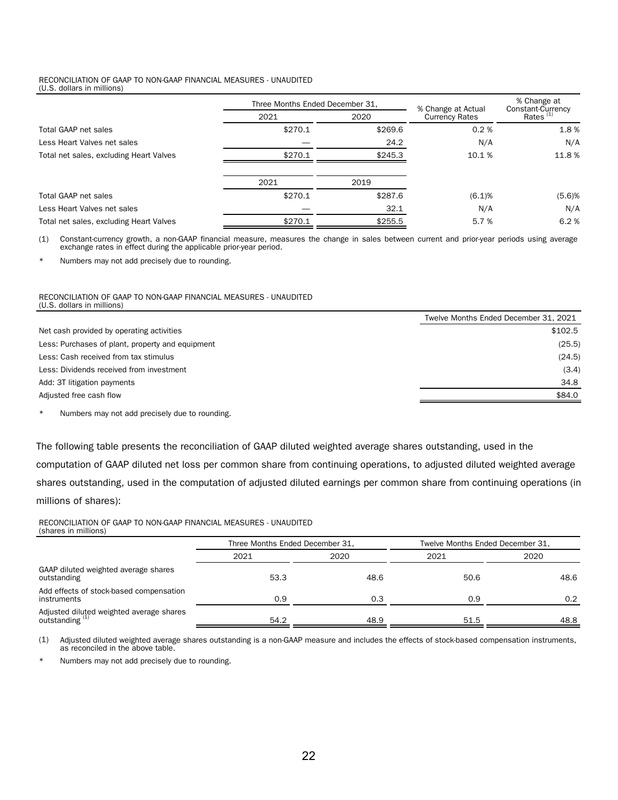#### RECONCILIATION OF GAAP TO NON-GAAP FINANCIAL MEASURES - UNAUDITED (U.S. dollars in millions)

|                                         | Three Months Ended December 31, |         | % Change at Actual                       | % Change at<br>Constant-Currency |
|-----------------------------------------|---------------------------------|---------|------------------------------------------|----------------------------------|
|                                         | 2021                            | 2020    | <b>Currency Rates</b><br>\$269.6<br>0.2% |                                  |
| Total GAAP net sales                    | \$270.1                         |         |                                          | 1.8%                             |
| Less Heart Valves net sales             |                                 | 24.2    | N/A                                      | N/A                              |
| Total net sales, excluding Heart Valves | \$270.1                         | \$245.3 | 10.1%                                    | 11.8 %                           |
|                                         | 2021                            | 2019    |                                          |                                  |
| Total GAAP net sales                    | \$270.1                         | \$287.6 | (6.1)%                                   | (5.6)%                           |
| Less Heart Valves net sales             |                                 | 32.1    | N/A                                      | N/A                              |
| Total net sales, excluding Heart Valves | \$270.1                         | \$255.5 | 5.7 %                                    | 6.2%                             |

(1) Constant-currency growth, a non-GAAP financial measure, measures the change in sales between current and prior-year periods using average exchange rates in effect during the applicable prior-year period.

Numbers may not add precisely due to rounding.

### RECONCILIATION OF GAAP TO NON-GAAP FINANCIAL MEASURES - UNAUDITED (U.S. dollars in millions)

|                                                  | Twelve Months Ended December 31, 2021 |
|--------------------------------------------------|---------------------------------------|
| Net cash provided by operating activities        | \$102.5                               |
| Less: Purchases of plant, property and equipment | (25.5)                                |
| Less: Cash received from tax stimulus            | (24.5)                                |
| Less: Dividends received from investment         | (3.4)                                 |
| Add: 3T litigation payments                      | 34.8                                  |
| Adjusted free cash flow                          | \$84.0                                |
|                                                  |                                       |

\* Numbers may not add precisely due to rounding.

The following table presents the reconciliation of GAAP diluted weighted average shares outstanding, used in the computation of GAAP diluted net loss per common share from continuing operations, to adjusted diluted weighted average shares outstanding, used in the computation of adjusted diluted earnings per common share from continuing operations (in

millions of shares):

#### RECONCILIATION OF GAAP TO NON-GAAP FINANCIAL MEASURES - UNAUDITED (shares in millions)

|                                                                        | Three Months Ended December 31. |      | Twelve Months Ended December 31. |               |  |  |
|------------------------------------------------------------------------|---------------------------------|------|----------------------------------|---------------|--|--|
|                                                                        | 2021                            | 2020 | 2021                             | 2020          |  |  |
| GAAP diluted weighted average shares<br>outstanding                    | 53.3                            | 48.6 | 50.6                             | 48.6          |  |  |
| Add effects of stock-based compensation<br>instruments                 | 0.9                             | 0.3  | 0.9                              | $0.2^{\circ}$ |  |  |
| Adjusted diluted weighted average shares<br>outstanding <sup>(1)</sup> | 54.2                            | 48.9 | 51.5                             | 48.8          |  |  |

(1) Adjusted diluted weighted average shares outstanding is a non-GAAP measure and includes the effects of stock-based compensation instruments, as reconciled in the above table.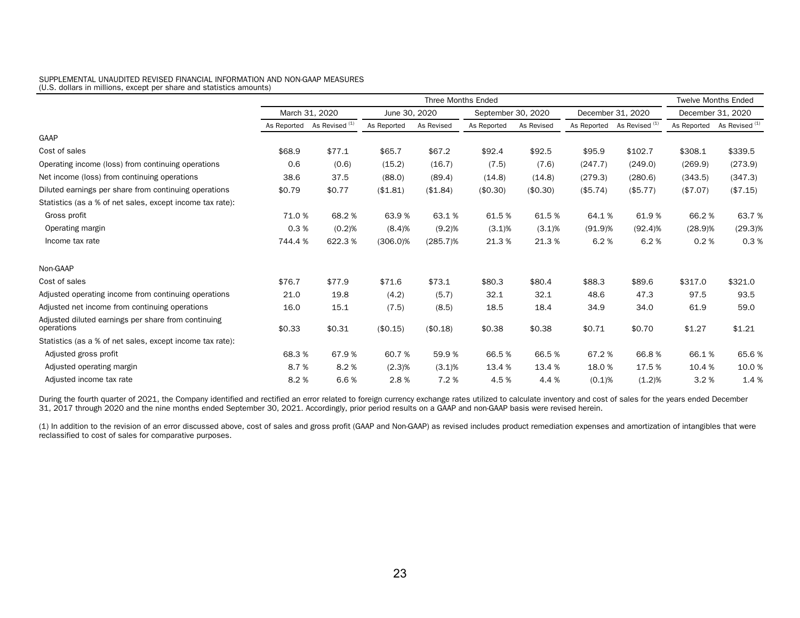#### SUPPLEMENTAL UNAUDITED REVISED FINANCIAL INFORMATION AND NON-GAAP MEASURES (U.S. dollars in millions, except per share and statistics amounts)

|                                                                   | <b>Three Months Ended</b> |                           |               |             |                    |            | <b>Twelve Months Ended</b> |                                       |                   |                           |
|-------------------------------------------------------------------|---------------------------|---------------------------|---------------|-------------|--------------------|------------|----------------------------|---------------------------------------|-------------------|---------------------------|
|                                                                   | March 31, 2020            |                           | June 30, 2020 |             | September 30, 2020 |            | December 31, 2020          |                                       | December 31, 2020 |                           |
|                                                                   | As Reported               | As Revised <sup>(1)</sup> | As Reported   | As Revised  | As Reported        | As Revised |                            | As Reported As Revised <sup>(1)</sup> | As Reported       | As Revised <sup>(1)</sup> |
| GAAP                                                              |                           |                           |               |             |                    |            |                            |                                       |                   |                           |
| Cost of sales                                                     | \$68.9                    | \$77.1                    | \$65.7        | \$67.2      | \$92.4             | \$92.5     | \$95.9                     | \$102.7                               | \$308.1           | \$339.5                   |
| Operating income (loss) from continuing operations                | 0.6                       | (0.6)                     | (15.2)        | (16.7)      | (7.5)              | (7.6)      | (247.7)                    | (249.0)                               | (269.9)           | (273.9)                   |
| Net income (loss) from continuing operations                      | 38.6                      | 37.5                      | (88.0)        | (89.4)      | (14.8)             | (14.8)     | (279.3)                    | (280.6)                               | (343.5)           | (347.3)                   |
| Diluted earnings per share from continuing operations             | \$0.79                    | \$0.77                    | (\$1.81)      | (\$1.84)    | (\$0.30)           | (\$0.30)   | (\$5.74)                   | (\$5.77)                              | (\$7.07)          | (\$7.15)                  |
| Statistics (as a % of net sales, except income tax rate):         |                           |                           |               |             |                    |            |                            |                                       |                   |                           |
| Gross profit                                                      | 71.0%                     | 68.2%                     | 63.9%         | 63.1%       | 61.5%              | 61.5%      | 64.1%                      | 61.9%                                 | 66.2%             | 63.7%                     |
| Operating margin                                                  | 0.3%                      | (0.2)%                    | (8.4)%        | (9.2)%      | $(3.1)\%$          | $(3.1)\%$  | (91.9)%                    | (92.4)%                               | (28.9)%           | $(29.3)\%$                |
| Income tax rate                                                   | 744.4%                    | 622.3%                    | $(306.0)\%$   | $(285.7)\%$ | 21.3%              | 21.3%      | 6.2%                       | 6.2%                                  | 0.2%              | 0.3%                      |
| Non-GAAP                                                          |                           |                           |               |             |                    |            |                            |                                       |                   |                           |
| Cost of sales                                                     | \$76.7                    | \$77.9                    | \$71.6        | \$73.1      | \$80.3             | \$80.4     | \$88.3                     | \$89.6                                | \$317.0           | \$321.0                   |
| Adjusted operating income from continuing operations              | 21.0                      | 19.8                      | (4.2)         | (5.7)       | 32.1               | 32.1       | 48.6                       | 47.3                                  | 97.5              | 93.5                      |
| Adjusted net income from continuing operations                    | 16.0                      | 15.1                      | (7.5)         | (8.5)       | 18.5               | 18.4       | 34.9                       | 34.0                                  | 61.9              | 59.0                      |
| Adjusted diluted earnings per share from continuing<br>operations | \$0.33                    | \$0.31                    | (\$0.15)      | (\$0.18)    | \$0.38             | \$0.38     | \$0.71                     | \$0.70                                | \$1.27            | \$1.21                    |
| Statistics (as a % of net sales, except income tax rate):         |                           |                           |               |             |                    |            |                            |                                       |                   |                           |
| Adjusted gross profit                                             | 68.3%                     | 67.9%                     | 60.7%         | 59.9%       | 66.5%              | 66.5%      | 67.2%                      | 66.8%                                 | 66.1%             | 65.6%                     |
| Adjusted operating margin                                         | 8.7%                      | 8.2%                      | (2.3)%        | $(3.1)$ %   | 13.4 %             | 13.4 %     | 18.0%                      | 17.5 %                                | 10.4 %            | 10.0%                     |
| Adjusted income tax rate                                          | 8.2%                      | 6.6%                      | 2.8%          | 7.2%        | 4.5%               | 4.4 %      | (0.1)%                     | (1.2)%                                | 3.2%              | 1.4%                      |

During the fourth quarter of 2021, the Company identified and rectified an error related to foreign currency exchange rates utilized to calculate inventory and cost of sales for the years ended December 31, 2017 through 2020 and the nine months ended September 30, 2021. Accordingly, prior period results on a GAAP and non-GAAP basis were revised herein.

(1) In addition to the revision of an error discussed above, cost of sales and gross profit (GAAP and Non-GAAP) as revised includes product remediation expenses and amortization of intangibles that were reclassified to cost of sales for comparative purposes.